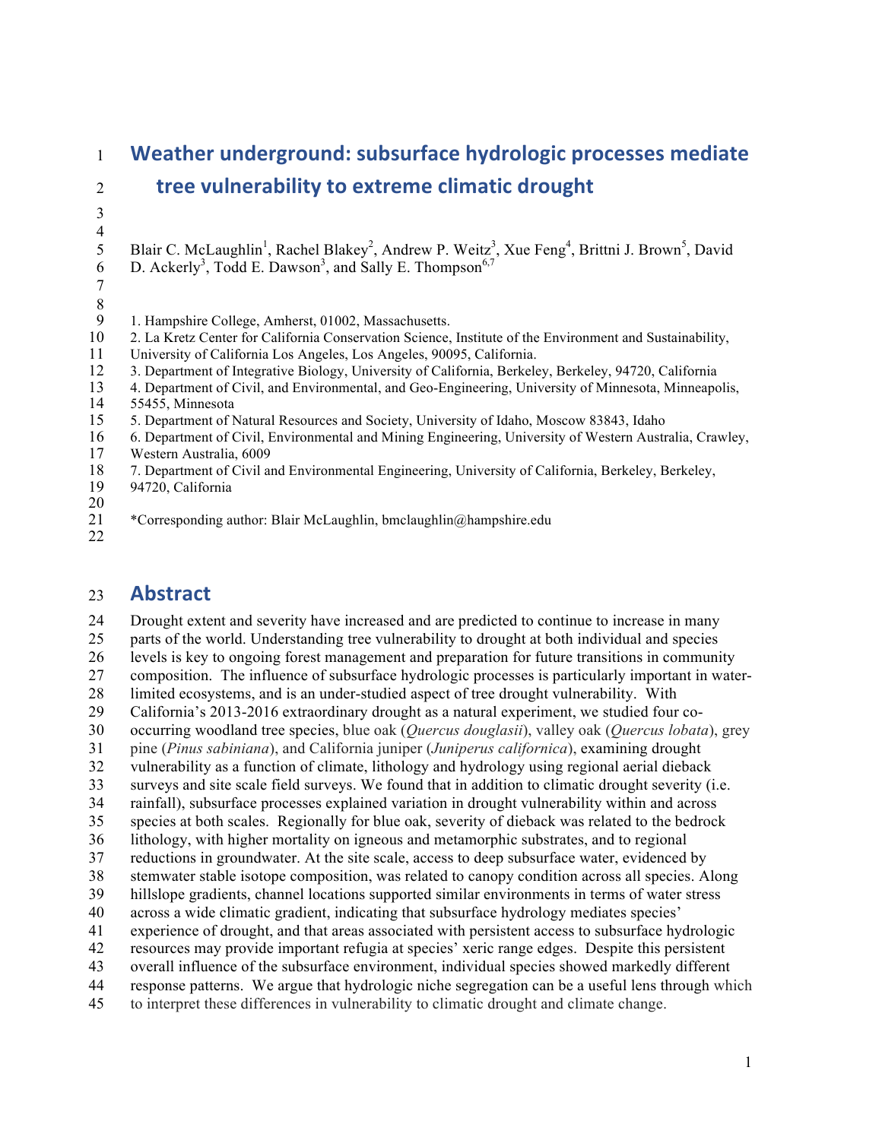## **Weather underground: subsurface hydrologic processes mediate tree vulnerability to extreme climatic drought**  5 Blair C. McLaughlin<sup>1</sup>, Rachel Blakey<sup>2</sup>, Andrew P. Weitz<sup>3</sup>, Xue Feng<sup>4</sup>, Brittni J. Brown<sup>5</sup>, David 6 D. Ackerly<sup>3</sup>, Todd E. Dawson<sup>3</sup>, and Sally E. Thompson<sup>6,7</sup> 1. Hampshire College, Amherst, 01002, Massachusetts. 2. La Kretz Center for California Conservation Science, Institute of the Environment and Sustainability, University of California Los Angeles, Los Angeles, 90095, California. 3. Department of Integrative Biology, University of California, Berkeley, Berkeley, 94720, California 4. Department of Civil, and Environmental, and Geo-Engineering, University of Minnesota, Minneapolis, 14 55455, Minnesota<br>15 5. Department of N 5. Department of Natural Resources and Society, University of Idaho, Moscow 83843, Idaho 6. Department of Civil, Environmental and Mining Engineering, University of Western Australia, Crawley, 17 Western Australia, 6009<br>18 7. Department of Civil and 7. Department of Civil and Environmental Engineering, University of California, Berkeley, Berkeley, 94720, California 21 \* Corresponding author: Blair McLaughlin, bmclaughlin@hampshire.edu

## **Abstract**

 Drought extent and severity have increased and are predicted to continue to increase in many parts of the world. Understanding tree vulnerability to drought at both individual and species levels is key to ongoing forest management and preparation for future transitions in community composition. The influence of subsurface hydrologic processes is particularly important in water- limited ecosystems, and is an under-studied aspect of tree drought vulnerability. With California's 2013-2016 extraordinary drought as a natural experiment, we studied four co- occurring woodland tree species, blue oak (*Quercus douglasii*), valley oak (*Quercus lobata*), grey pine (*Pinus sabiniana*), and California juniper (*Juniperus californica*), examining drought vulnerability as a function of climate, lithology and hydrology using regional aerial dieback surveys and site scale field surveys. We found that in addition to climatic drought severity (i.e. rainfall), subsurface processes explained variation in drought vulnerability within and across species at both scales. Regionally for blue oak, severity of dieback was related to the bedrock lithology, with higher mortality on igneous and metamorphic substrates, and to regional reductions in groundwater. At the site scale, access to deep subsurface water, evidenced by stemwater stable isotope composition, was related to canopy condition across all species. Along hillslope gradients, channel locations supported similar environments in terms of water stress across a wide climatic gradient, indicating that subsurface hydrology mediates species' experience of drought, and that areas associated with persistent access to subsurface hydrologic resources may provide important refugia at species' xeric range edges. Despite this persistent overall influence of the subsurface environment, individual species showed markedly different response patterns. We argue that hydrologic niche segregation can be a useful lens through which to interpret these differences in vulnerability to climatic drought and climate change.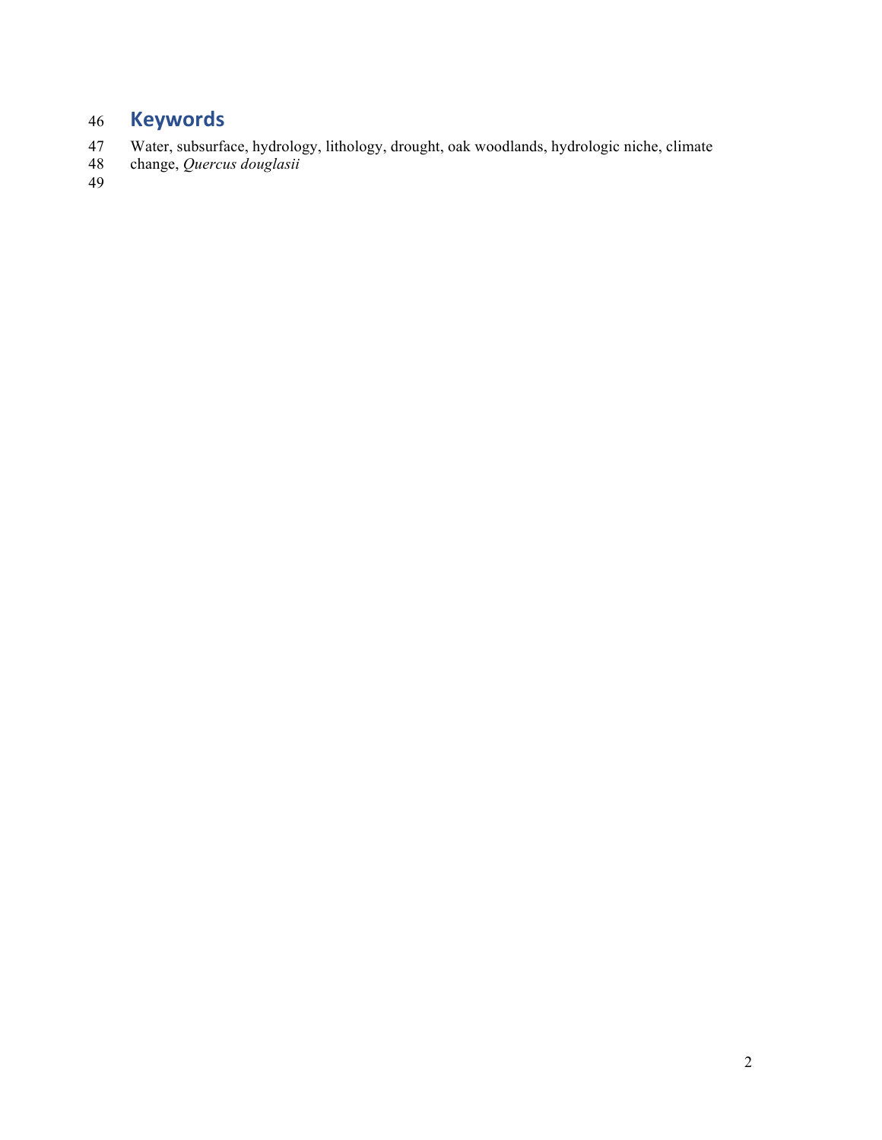# **Keywords**

- Water, subsurface, hydrology, lithology, drought, oak woodlands, hydrologic niche, climate
- change, *Quercus douglasii*  $\frac{48}{49}$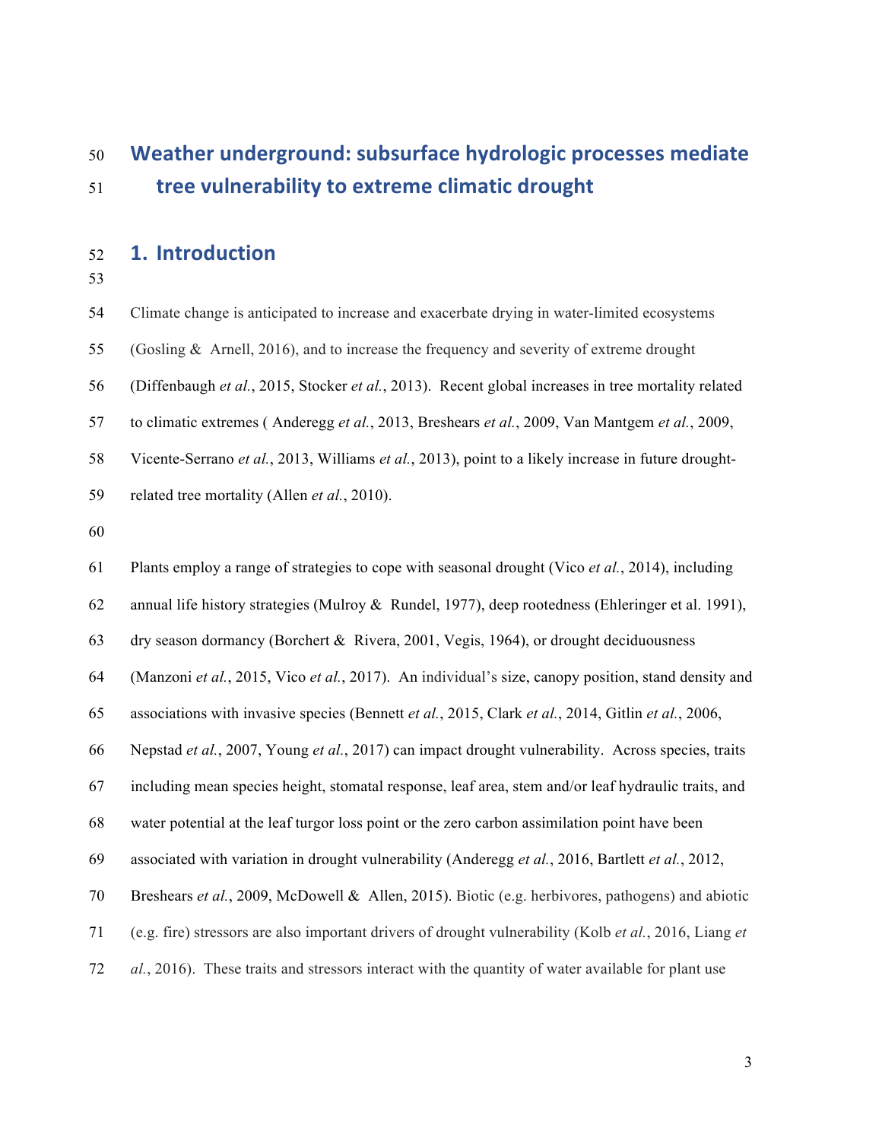# **Weather underground: subsurface hydrologic processes mediate tree vulnerability to extreme climatic drought**

## **1. Introduction**

Climate change is anticipated to increase and exacerbate drying in water-limited ecosystems

(Gosling & Arnell, 2016), and to increase the frequency and severity of extreme drought

(Diffenbaugh *et al.*, 2015, Stocker *et al.*, 2013). Recent global increases in tree mortality related

to climatic extremes ( Anderegg *et al.*, 2013, Breshears *et al.*, 2009, Van Mantgem *et al.*, 2009,

Vicente-Serrano *et al.*, 2013, Williams *et al.*, 2013), point to a likely increase in future drought-

related tree mortality (Allen *et al.*, 2010).

 Plants employ a range of strategies to cope with seasonal drought (Vico *et al.*, 2014), including annual life history strategies (Mulroy & Rundel, 1977), deep rootedness (Ehleringer et al. 1991), dry season dormancy (Borchert & Rivera, 2001, Vegis, 1964), or drought deciduousness (Manzoni *et al.*, 2015, Vico *et al.*, 2017). An individual's size, canopy position, stand density and associations with invasive species (Bennett *et al.*, 2015, Clark *et al.*, 2014, Gitlin *et al.*, 2006, Nepstad *et al.*, 2007, Young *et al.*, 2017) can impact drought vulnerability. Across species, traits including mean species height, stomatal response, leaf area, stem and/or leaf hydraulic traits, and water potential at the leaf turgor loss point or the zero carbon assimilation point have been associated with variation in drought vulnerability (Anderegg *et al.*, 2016, Bartlett *et al.*, 2012, Breshears *et al.*, 2009, McDowell & Allen, 2015). Biotic (e.g. herbivores, pathogens) and abiotic (e.g. fire) stressors are also important drivers of drought vulnerability (Kolb *et al.*, 2016, Liang *et al.*, 2016). These traits and stressors interact with the quantity of water available for plant use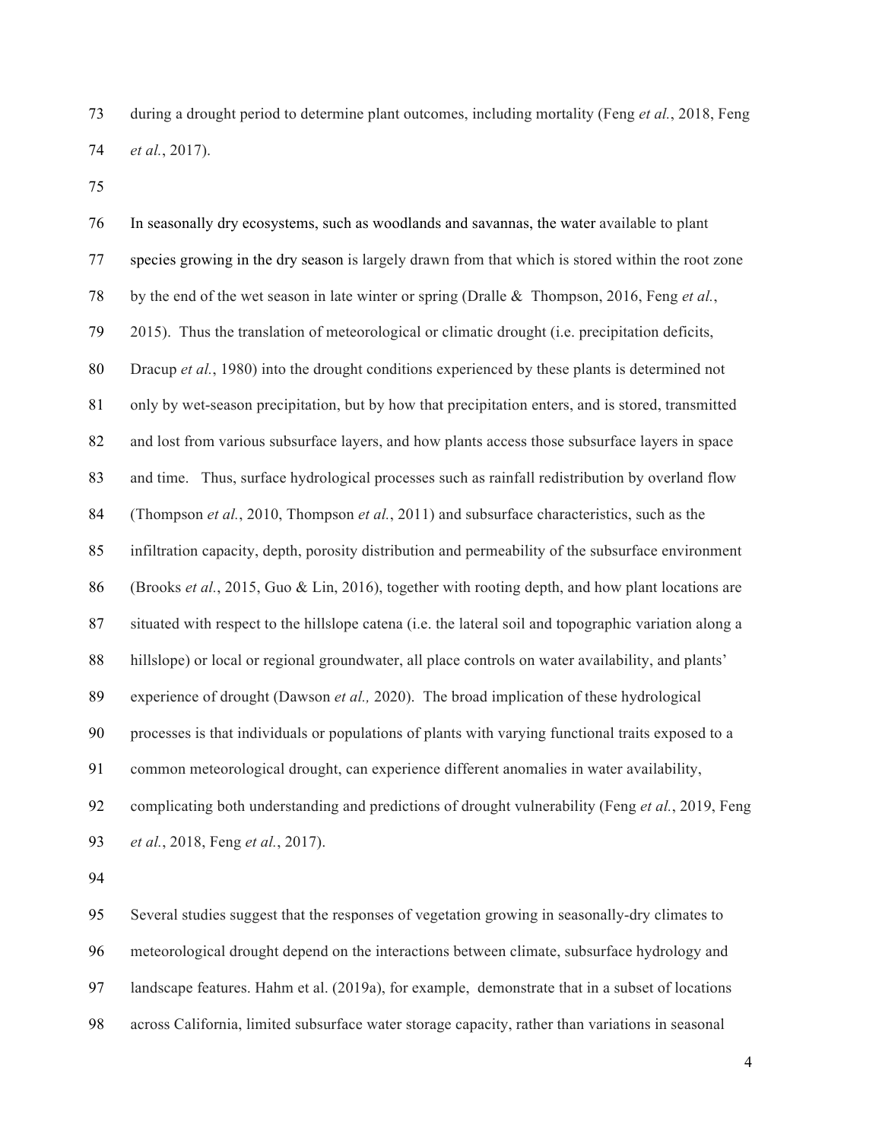during a drought period to determine plant outcomes, including mortality (Feng *et al.*, 2018, Feng *et al.*, 2017).

 In seasonally dry ecosystems, such as woodlands and savannas, the water available to plant species growing in the dry season is largely drawn from that which is stored within the root zone by the end of the wet season in late winter or spring (Dralle & Thompson, 2016, Feng *et al.*, 2015). Thus the translation of meteorological or climatic drought (i.e. precipitation deficits, Dracup *et al.*, 1980) into the drought conditions experienced by these plants is determined not only by wet-season precipitation, but by how that precipitation enters, and is stored, transmitted and lost from various subsurface layers, and how plants access those subsurface layers in space and time. Thus, surface hydrological processes such as rainfall redistribution by overland flow (Thompson *et al.*, 2010, Thompson *et al.*, 2011) and subsurface characteristics, such as the infiltration capacity, depth, porosity distribution and permeability of the subsurface environment (Brooks *et al.*, 2015, Guo & Lin, 2016), together with rooting depth, and how plant locations are situated with respect to the hillslope catena (i.e. the lateral soil and topographic variation along a hillslope) or local or regional groundwater, all place controls on water availability, and plants' experience of drought (Dawson *et al.,* 2020). The broad implication of these hydrological processes is that individuals or populations of plants with varying functional traits exposed to a common meteorological drought, can experience different anomalies in water availability, complicating both understanding and predictions of drought vulnerability (Feng *et al.*, 2019, Feng *et al.*, 2018, Feng *et al.*, 2017).

 Several studies suggest that the responses of vegetation growing in seasonally-dry climates to meteorological drought depend on the interactions between climate, subsurface hydrology and landscape features. Hahm et al. (2019a), for example, demonstrate that in a subset of locations across California, limited subsurface water storage capacity, rather than variations in seasonal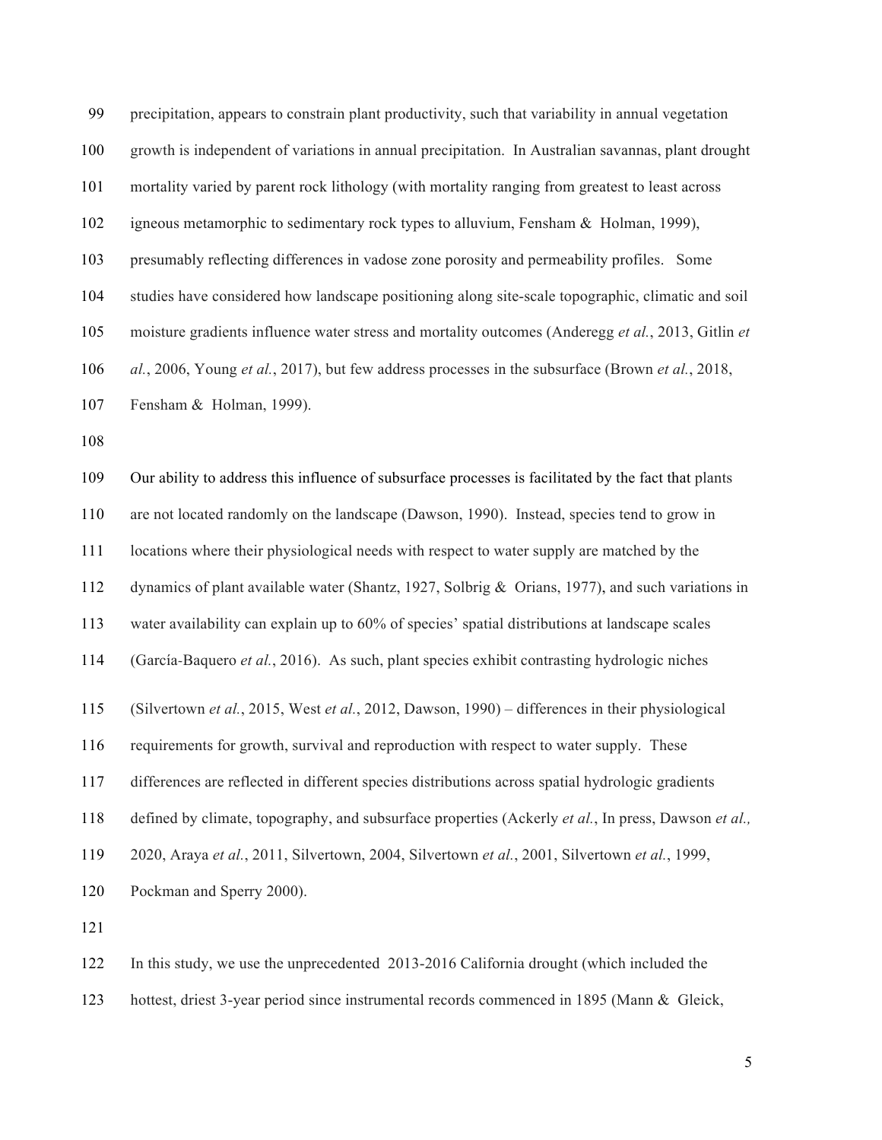| 99  | precipitation, appears to constrain plant productivity, such that variability in annual vegetation   |
|-----|------------------------------------------------------------------------------------------------------|
| 100 | growth is independent of variations in annual precipitation. In Australian savannas, plant drought   |
| 101 | mortality varied by parent rock lithology (with mortality ranging from greatest to least across      |
| 102 | igneous metamorphic to sedimentary rock types to alluvium, Fensham & Holman, 1999),                  |
| 103 | presumably reflecting differences in vadose zone porosity and permeability profiles. Some            |
| 104 | studies have considered how landscape positioning along site-scale topographic, climatic and soil    |
| 105 | moisture gradients influence water stress and mortality outcomes (Anderegg et al., 2013, Gitlin et   |
| 106 | al., 2006, Young et al., 2017), but few address processes in the subsurface (Brown et al., 2018,     |
| 107 | Fensham & Holman, 1999).                                                                             |
| 108 |                                                                                                      |
| 109 | Our ability to address this influence of subsurface processes is facilitated by the fact that plants |
| 110 | are not located randomly on the landscape (Dawson, 1990). Instead, species tend to grow in           |
| 111 | locations where their physiological needs with respect to water supply are matched by the            |
| 112 | dynamics of plant available water (Shantz, 1927, Solbrig & Orians, 1977), and such variations in     |
| 113 | water availability can explain up to 60% of species' spatial distributions at landscape scales       |
| 114 | (García-Baquero et al., 2016). As such, plant species exhibit contrasting hydrologic niches          |
| 115 | (Silvertown et al., 2015, West et al., 2012, Dawson, 1990) – differences in their physiological      |
| 116 | requirements for growth, survival and reproduction with respect to water supply. These               |
| 117 | differences are reflected in different species distributions across spatial hydrologic gradients     |
| 118 | defined by climate, topography, and subsurface properties (Ackerly et al., In press, Dawson et al.,  |
| 119 | 2020, Araya et al., 2011, Silvertown, 2004, Silvertown et al., 2001, Silvertown et al., 1999,        |
| 120 | Pockman and Sperry 2000).                                                                            |
| 121 |                                                                                                      |
| 122 | In this study, we use the unprecedented 2013-2016 California drought (which included the             |

hottest, driest 3-year period since instrumental records commenced in 1895 (Mann & Gleick,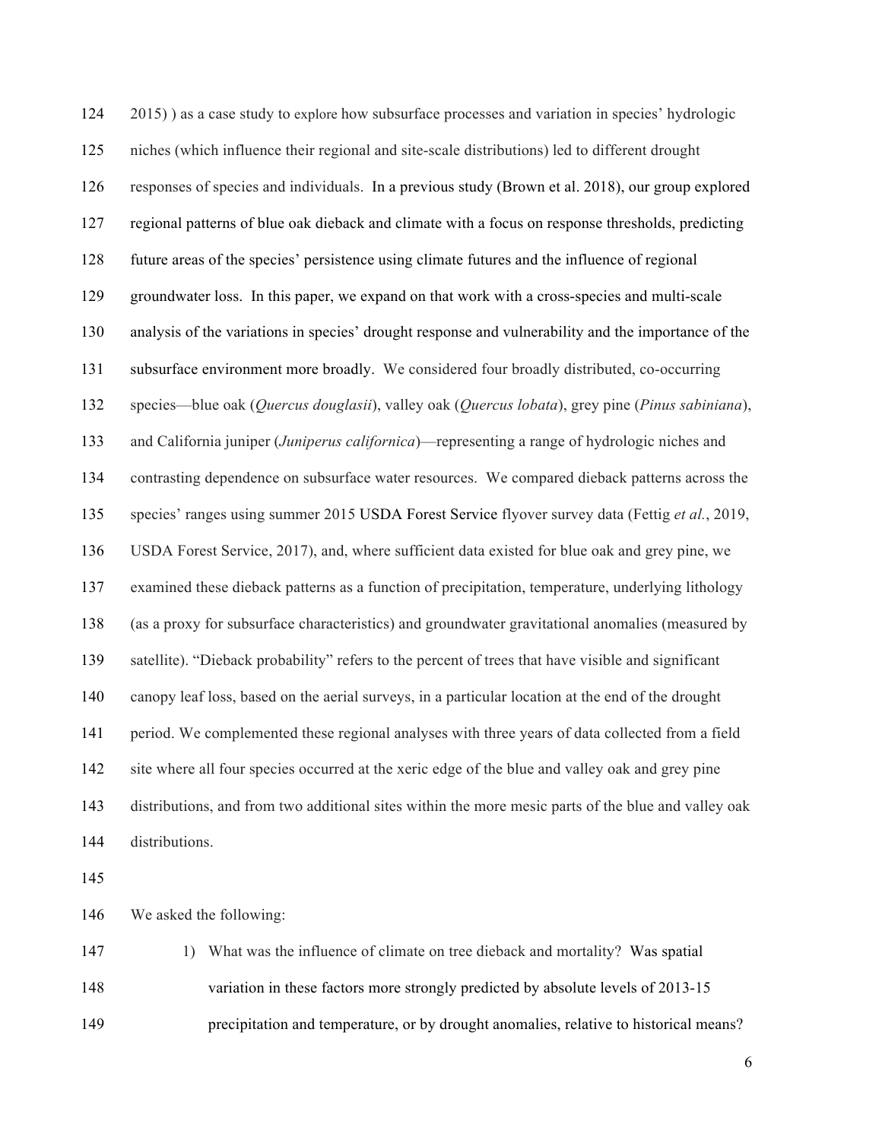2015) ) as a case study to explore how subsurface processes and variation in species' hydrologic niches (which influence their regional and site-scale distributions) led to different drought responses of species and individuals. In a previous study (Brown et al. 2018), our group explored regional patterns of blue oak dieback and climate with a focus on response thresholds, predicting future areas of the species' persistence using climate futures and the influence of regional groundwater loss. In this paper, we expand on that work with a cross-species and multi-scale analysis of the variations in species' drought response and vulnerability and the importance of the subsurface environment more broadly. We considered four broadly distributed, co-occurring species—blue oak (*Quercus douglasii*), valley oak (*Quercus lobata*), grey pine (*Pinus sabiniana*), and California juniper (*Juniperus californica*)—representing a range of hydrologic niches and contrasting dependence on subsurface water resources. We compared dieback patterns across the species' ranges using summer 2015 USDA Forest Service flyover survey data (Fettig *et al.*, 2019, USDA Forest Service, 2017), and, where sufficient data existed for blue oak and grey pine, we examined these dieback patterns as a function of precipitation, temperature, underlying lithology (as a proxy for subsurface characteristics) and groundwater gravitational anomalies (measured by satellite). "Dieback probability" refers to the percent of trees that have visible and significant canopy leaf loss, based on the aerial surveys, in a particular location at the end of the drought period. We complemented these regional analyses with three years of data collected from a field site where all four species occurred at the xeric edge of the blue and valley oak and grey pine distributions, and from two additional sites within the more mesic parts of the blue and valley oak distributions. We asked the following:

 1) What was the influence of climate on tree dieback and mortality? Was spatial variation in these factors more strongly predicted by absolute levels of 2013-15 precipitation and temperature, or by drought anomalies, relative to historical means?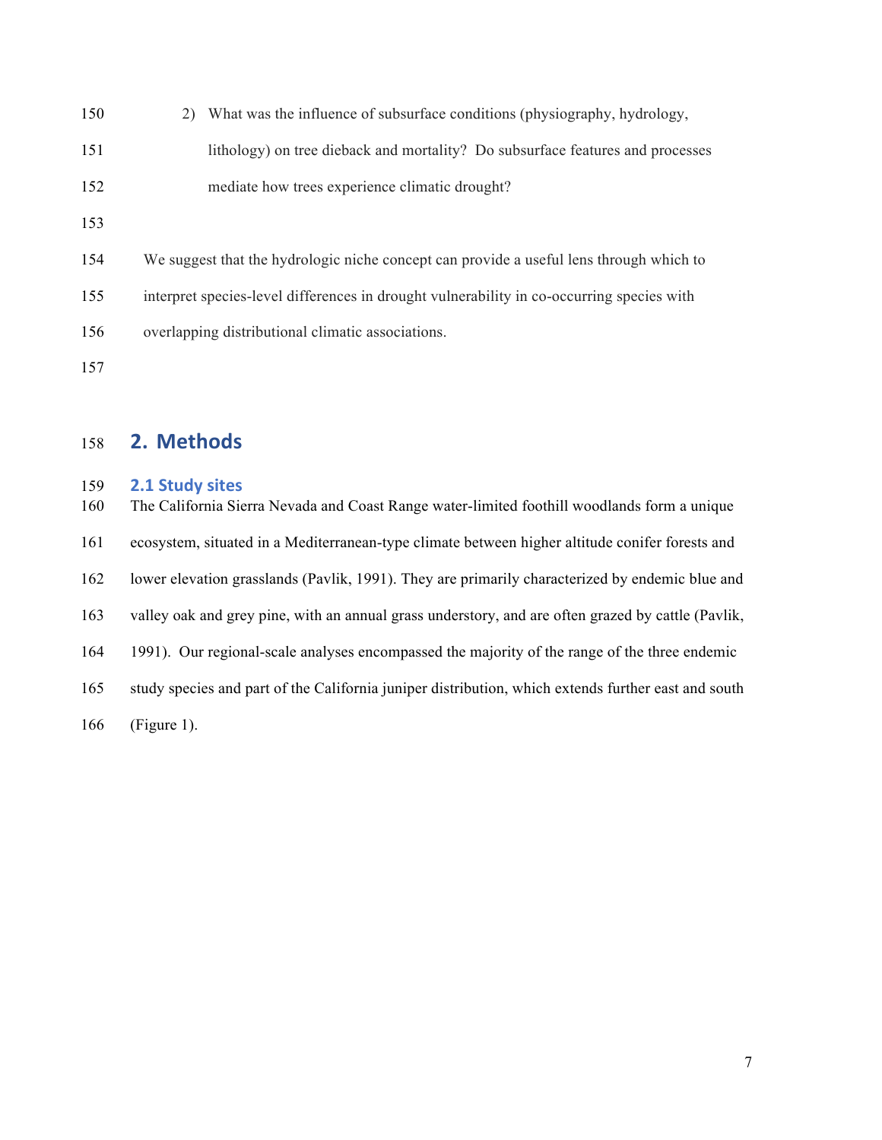| 150 | 2) What was the influence of subsurface conditions (physiography, hydrology,              |
|-----|-------------------------------------------------------------------------------------------|
| 151 | lithology) on tree dieback and mortality? Do subsurface features and processes            |
| 152 | mediate how trees experience climatic drought?                                            |
| 153 |                                                                                           |
| 154 | We suggest that the hydrologic niche concept can provide a useful lens through which to   |
| 155 | interpret species-level differences in drought vulnerability in co-occurring species with |
| 156 | overlapping distributional climatic associations.                                         |
| 157 |                                                                                           |

## **2. Methods**

## **2.1 Study sites**

 The California Sierra Nevada and Coast Range water-limited foothill woodlands form a unique ecosystem, situated in a Mediterranean-type climate between higher altitude conifer forests and lower elevation grasslands (Pavlik, 1991). They are primarily characterized by endemic blue and valley oak and grey pine, with an annual grass understory, and are often grazed by cattle (Pavlik, 1991). Our regional-scale analyses encompassed the majority of the range of the three endemic study species and part of the California juniper distribution, which extends further east and south (Figure 1).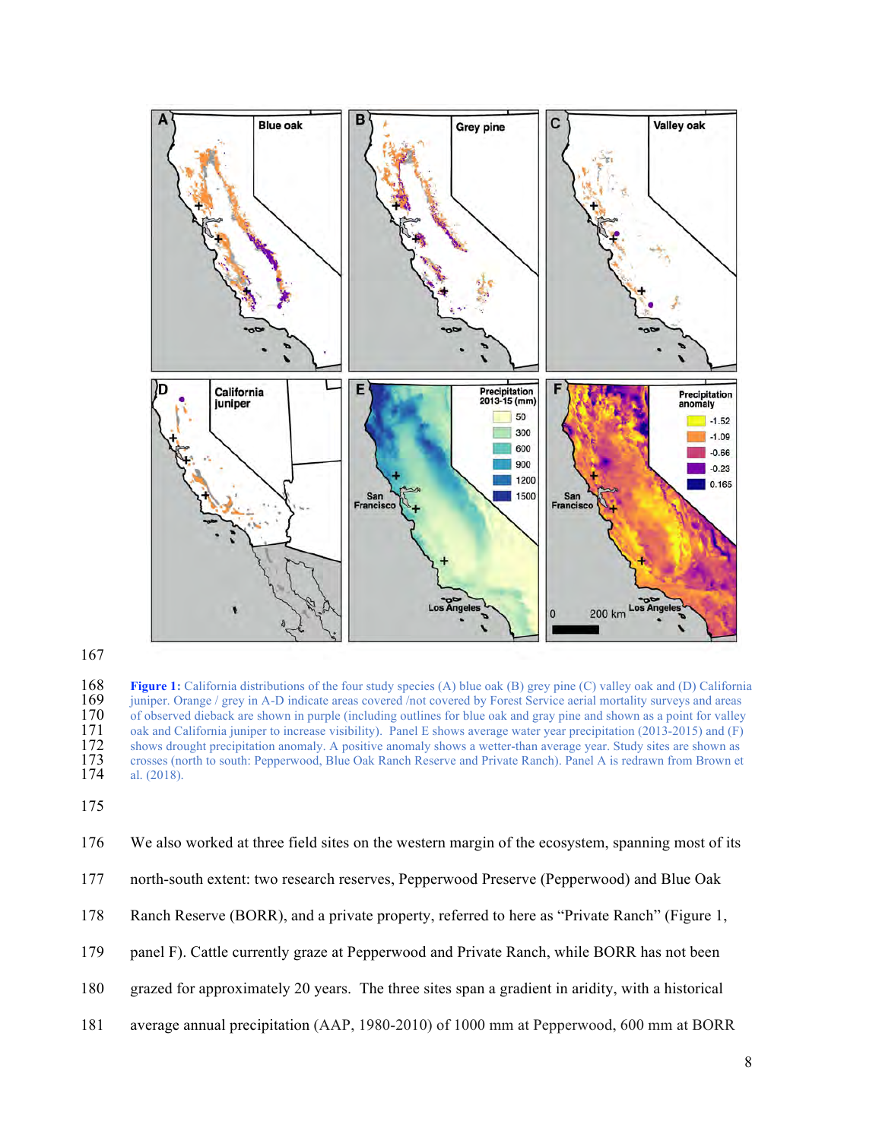

**Figure 1:** California distributions of the four study species (A) blue oak (B) grey pine (C) valley oak and (D) California juniper. Orange / grey in A-D indicate areas covered /not covered by Forest Service aerial mortali juniper. Orange / grey in A-D indicate areas covered /not covered by Forest Service aerial mortality surveys and areas 170 of observed dieback are shown in purple (including outlines for blue oak and gray pine and shown as a point for valley<br>171 oak and California juniper to increase visibility). Panel E shows average water year precipitat oak and California juniper to increase visibility). Panel E shows average water year precipitation (2013-2015) and (F) shows drought precipitation anomaly. A positive anomaly shows a wetter-than average year. Study sites are shown as crosses (north to south: Pepperwood, Blue Oak Ranch Reserve and Private Ranch). Panel A is redrawn from Brown et al.  $(2018)$ .

|  | 176 We also worked at three field sites on the western margin of the ecosystem, spanning most of its |  |
|--|------------------------------------------------------------------------------------------------------|--|
|  |                                                                                                      |  |

- north-south extent: two research reserves, Pepperwood Preserve (Pepperwood) and Blue Oak
- Ranch Reserve (BORR), and a private property, referred to here as "Private Ranch" (Figure 1,
- panel F). Cattle currently graze at Pepperwood and Private Ranch, while BORR has not been
- grazed for approximately 20 years. The three sites span a gradient in aridity, with a historical
- average annual precipitation (AAP, 1980-2010) of 1000 mm at Pepperwood, 600 mm at BORR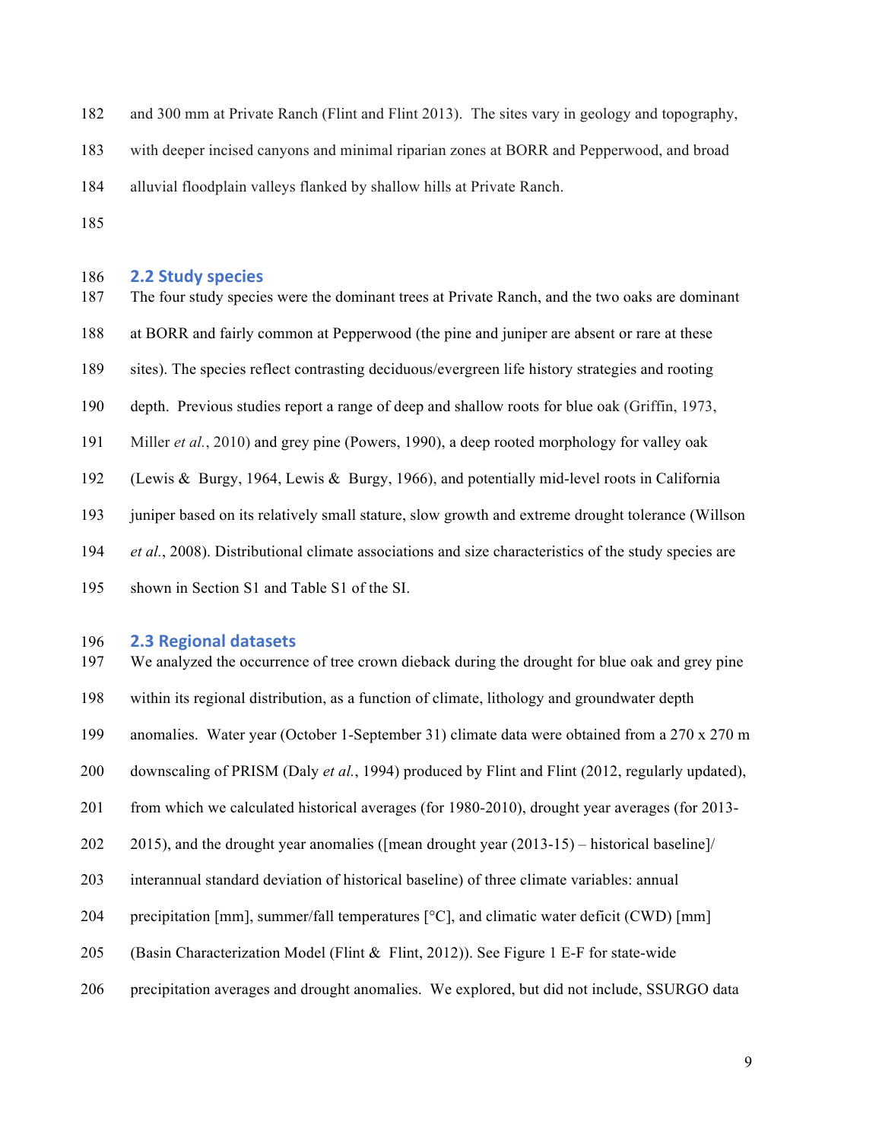and 300 mm at Private Ranch (Flint and Flint 2013). The sites vary in geology and topography,

with deeper incised canyons and minimal riparian zones at BORR and Pepperwood, and broad

alluvial floodplain valleys flanked by shallow hills at Private Ranch.

### **2.2 Study species**

 The four study species were the dominant trees at Private Ranch, and the two oaks are dominant at BORR and fairly common at Pepperwood (the pine and juniper are absent or rare at these sites). The species reflect contrasting deciduous/evergreen life history strategies and rooting depth. Previous studies report a range of deep and shallow roots for blue oak (Griffin, 1973, Miller *et al.*, 2010) and grey pine (Powers, 1990), a deep rooted morphology for valley oak (Lewis & Burgy, 1964, Lewis & Burgy, 1966), and potentially mid-level roots in California 193 juniper based on its relatively small stature, slow growth and extreme drought tolerance (Willson *et al.*, 2008). Distributional climate associations and size characteristics of the study species are shown in Section S1 and Table S1 of the SI.

### **2.3 Regional datasets**

 We analyzed the occurrence of tree crown dieback during the drought for blue oak and grey pine within its regional distribution, as a function of climate, lithology and groundwater depth anomalies. Water year (October 1-September 31) climate data were obtained from a 270 x 270 m downscaling of PRISM (Daly *et al.*, 1994) produced by Flint and Flint (2012, regularly updated), from which we calculated historical averages (for 1980-2010), drought year averages (for 2013- 2015), and the drought year anomalies ([mean drought year (2013-15) – historical baseline]/ interannual standard deviation of historical baseline) of three climate variables: annual 204 precipitation [mm], summer/fall temperatures  $[^{\circ}C]$ , and climatic water deficit (CWD) [mm] (Basin Characterization Model (Flint & Flint, 2012)). See Figure 1 E-F for state-wide precipitation averages and drought anomalies. We explored, but did not include, SSURGO data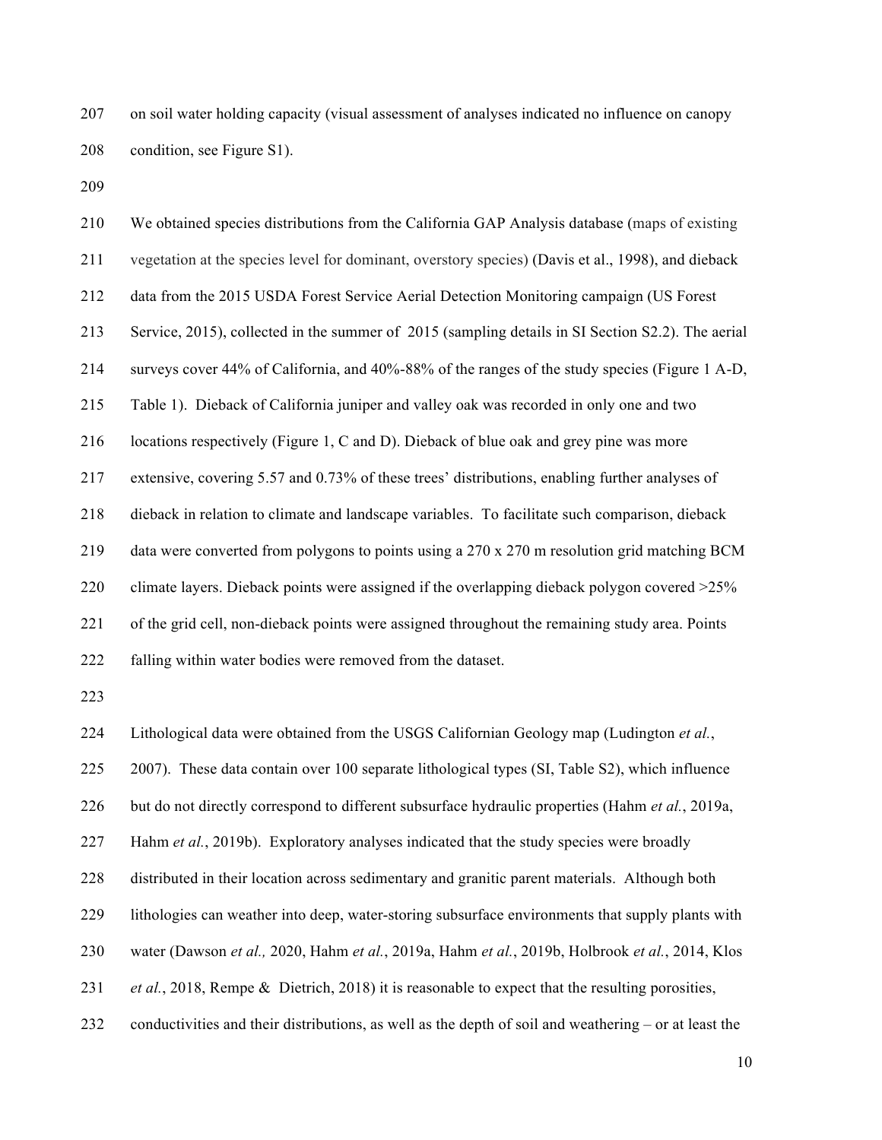on soil water holding capacity (visual assessment of analyses indicated no influence on canopy condition, see Figure S1).

 We obtained species distributions from the California GAP Analysis database (maps of existing vegetation at the species level for dominant, overstory species) (Davis et al., 1998), and dieback data from the 2015 USDA Forest Service Aerial Detection Monitoring campaign (US Forest Service, 2015), collected in the summer of 2015 (sampling details in SI Section S2.2). The aerial surveys cover 44% of California, and 40%-88% of the ranges of the study species (Figure 1 A-D, Table 1). Dieback of California juniper and valley oak was recorded in only one and two locations respectively (Figure 1, C and D). Dieback of blue oak and grey pine was more extensive, covering 5.57 and 0.73% of these trees' distributions, enabling further analyses of dieback in relation to climate and landscape variables. To facilitate such comparison, dieback 219 data were converted from polygons to points using a 270 x 270 m resolution grid matching BCM 220 climate layers. Dieback points were assigned if the overlapping dieback polygon covered  $>25\%$  of the grid cell, non-dieback points were assigned throughout the remaining study area. Points falling within water bodies were removed from the dataset. 

Lithological data were obtained from the USGS Californian Geology map (Ludington *et al.*,

2007). These data contain over 100 separate lithological types (SI, Table S2), which influence

but do not directly correspond to different subsurface hydraulic properties (Hahm *et al.*, 2019a,

Hahm *et al.*, 2019b). Exploratory analyses indicated that the study species were broadly

distributed in their location across sedimentary and granitic parent materials. Although both

lithologies can weather into deep, water-storing subsurface environments that supply plants with

water (Dawson *et al.,* 2020, Hahm *et al.*, 2019a, Hahm *et al.*, 2019b, Holbrook *et al.*, 2014, Klos

*et al.*, 2018, Rempe & Dietrich, 2018) it is reasonable to expect that the resulting porosities,

conductivities and their distributions, as well as the depth of soil and weathering – or at least the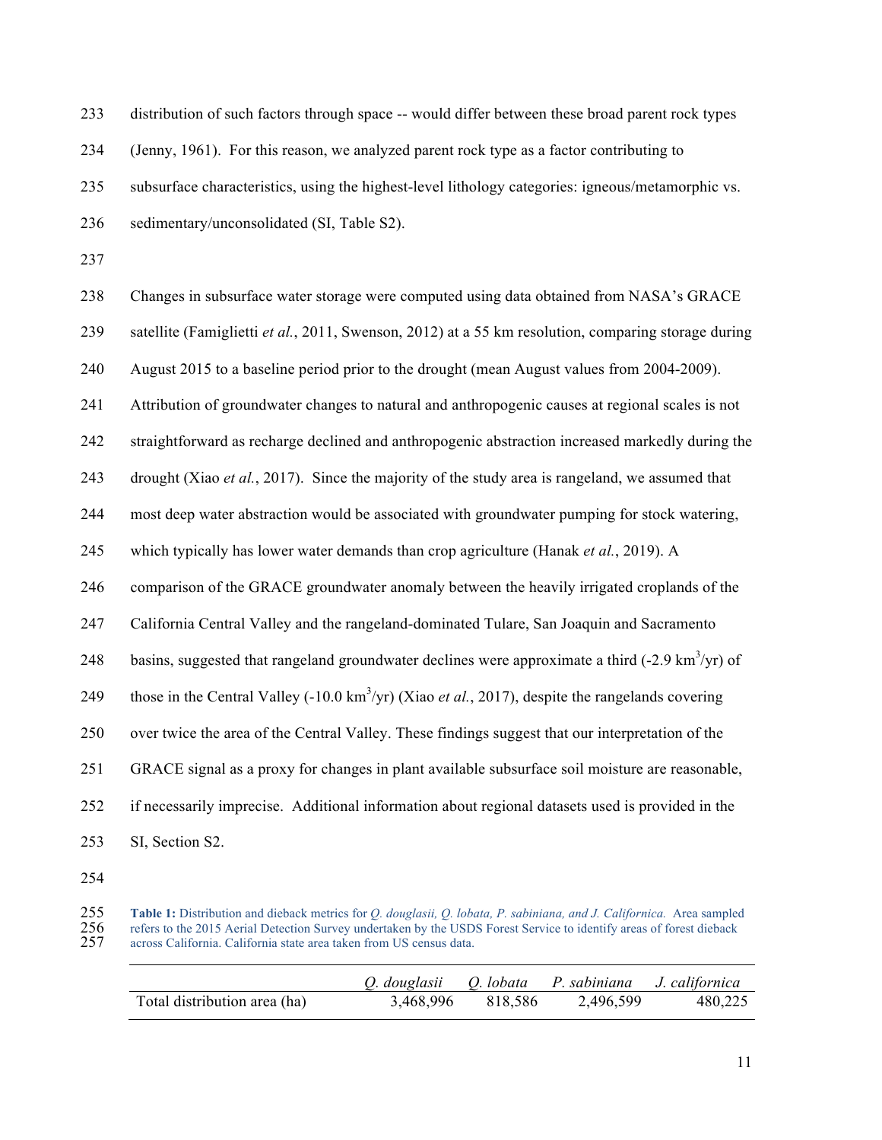| 234 | (Jenny, 1961). For this reason, we analyzed parent rock type as a factor contributing to                             |
|-----|----------------------------------------------------------------------------------------------------------------------|
| 235 | subsurface characteristics, using the highest-level lithology categories: igneous/metamorphic vs.                    |
| 236 | sedimentary/unconsolidated (SI, Table S2).                                                                           |
| 237 |                                                                                                                      |
| 238 | Changes in subsurface water storage were computed using data obtained from NASA's GRACE                              |
| 239 | satellite (Famiglietti et al., 2011, Swenson, 2012) at a 55 km resolution, comparing storage during                  |
| 240 | August 2015 to a baseline period prior to the drought (mean August values from 2004-2009).                           |
| 241 | Attribution of groundwater changes to natural and anthropogenic causes at regional scales is not                     |
| 242 | straightforward as recharge declined and anthropogenic abstraction increased markedly during the                     |
| 243 | drought (Xiao <i>et al.</i> , 2017). Since the majority of the study area is rangeland, we assumed that              |
| 244 | most deep water abstraction would be associated with groundwater pumping for stock watering,                         |
| 245 | which typically has lower water demands than crop agriculture (Hanak et al., 2019). A                                |
| 246 | comparison of the GRACE groundwater anomaly between the heavily irrigated croplands of the                           |
| 247 | California Central Valley and the rangeland-dominated Tulare, San Joaquin and Sacramento                             |
| 248 | basins, suggested that rangeland groundwater declines were approximate a third $(-2.9 \text{ km}^3/\text{yr})$ of    |
| 249 | those in the Central Valley (-10.0 km <sup>3</sup> /yr) (Xiao <i>et al.</i> , 2017), despite the rangelands covering |
| 250 | over twice the area of the Central Valley. These findings suggest that our interpretation of the                     |
| 251 | GRACE signal as a proxy for changes in plant available subsurface soil moisture are reasonable,                      |
| 252 | if necessarily imprecise. Additional information about regional datasets used is provided in the                     |
| 253 | SI, Section S2.                                                                                                      |
| 254 |                                                                                                                      |

distribution of such factors through space -- would differ between these broad parent rock types

 **Table 1:** Distribution and dieback metrics for *Q. douglasii, Q. lobata, P. sabiniana, and J. Californica.* Area sampled 256 refers to the 2015 Aerial Detection Survey undertaken by the USDS Forest Service to identify areas of forest dieback across California. California state area taken from US census data.

|                              | Q. douglasii Q. lobata P. sabiniana J. californica |         |           |         |
|------------------------------|----------------------------------------------------|---------|-----------|---------|
| Total distribution area (ha) | 3.468.996                                          | 818.586 | 2,496,599 | 480,225 |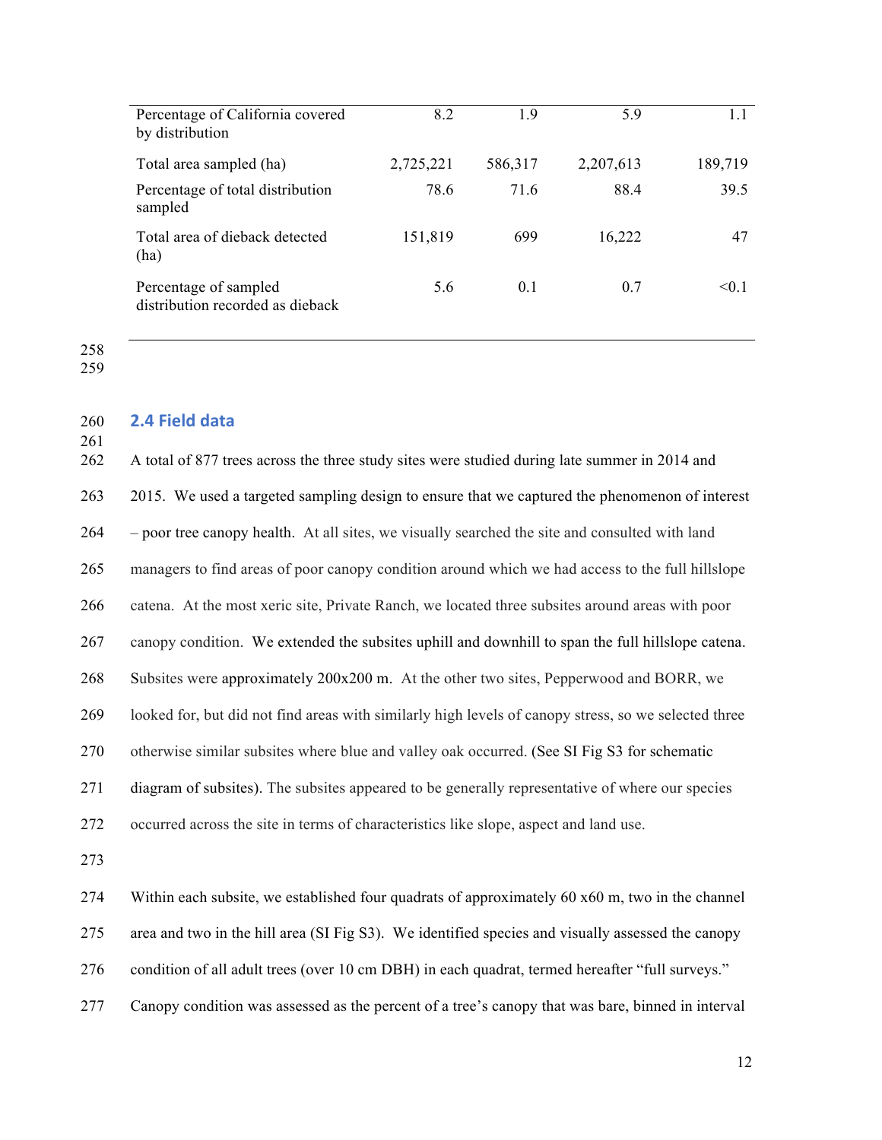| Percentage of California covered<br>by distribution       | 8.2       | 19      | 5.9       | 1.1     |
|-----------------------------------------------------------|-----------|---------|-----------|---------|
| Total area sampled (ha)                                   | 2,725,221 | 586,317 | 2,207,613 | 189,719 |
| Percentage of total distribution<br>sampled               | 78.6      | 71.6    | 88.4      | 39.5    |
| Total area of dieback detected<br>(ha)                    | 151,819   | 699     | 16,222    | 47      |
| Percentage of sampled<br>distribution recorded as dieback | 5.6       | 0.1     | 0.7       | < 0.1   |

## **2.4 Field data**

 A total of 877 trees across the three study sites were studied during late summer in 2014 and 2015. We used a targeted sampling design to ensure that we captured the phenomenon of interest – poor tree canopy health. At all sites, we visually searched the site and consulted with land managers to find areas of poor canopy condition around which we had access to the full hillslope catena. At the most xeric site, Private Ranch, we located three subsites around areas with poor canopy condition. We extended the subsites uphill and downhill to span the full hillslope catena. Subsites were approximately 200x200 m. At the other two sites, Pepperwood and BORR, we looked for, but did not find areas with similarly high levels of canopy stress, so we selected three otherwise similar subsites where blue and valley oak occurred. (See SI Fig S3 for schematic diagram of subsites). The subsites appeared to be generally representative of where our species occurred across the site in terms of characteristics like slope, aspect and land use. Within each subsite, we established four quadrats of approximately 60 x60 m, two in the channel area and two in the hill area (SI Fig S3). We identified species and visually assessed the canopy

condition of all adult trees (over 10 cm DBH) in each quadrat, termed hereafter "full surveys."

Canopy condition was assessed as the percent of a tree's canopy that was bare, binned in interval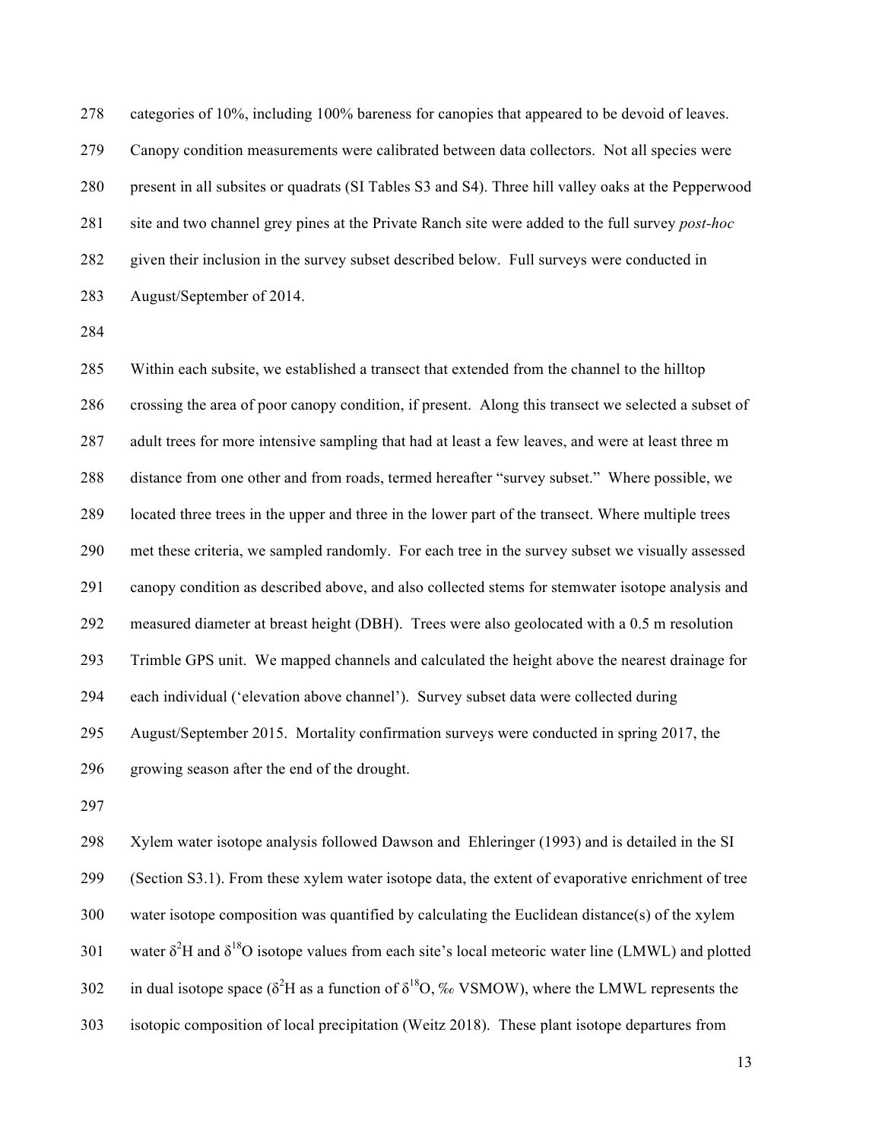categories of 10%, including 100% bareness for canopies that appeared to be devoid of leaves. Canopy condition measurements were calibrated between data collectors. Not all species were present in all subsites or quadrats (SI Tables S3 and S4). Three hill valley oaks at the Pepperwood site and two channel grey pines at the Private Ranch site were added to the full survey *post-hoc*  given their inclusion in the survey subset described below. Full surveys were conducted in August/September of 2014.

 Within each subsite, we established a transect that extended from the channel to the hilltop crossing the area of poor canopy condition, if present. Along this transect we selected a subset of adult trees for more intensive sampling that had at least a few leaves, and were at least three m distance from one other and from roads, termed hereafter "survey subset." Where possible, we located three trees in the upper and three in the lower part of the transect. Where multiple trees met these criteria, we sampled randomly. For each tree in the survey subset we visually assessed canopy condition as described above, and also collected stems for stemwater isotope analysis and measured diameter at breast height (DBH). Trees were also geolocated with a 0.5 m resolution Trimble GPS unit. We mapped channels and calculated the height above the nearest drainage for each individual ('elevation above channel'). Survey subset data were collected during August/September 2015. Mortality confirmation surveys were conducted in spring 2017, the growing season after the end of the drought.

 Xylem water isotope analysis followed Dawson and Ehleringer (1993) and is detailed in the SI (Section S3.1). From these xylem water isotope data, the extent of evaporative enrichment of tree water isotope composition was quantified by calculating the Euclidean distance(s) of the xylem 301 water  $\delta^2$ H and  $\delta^{18}$ O isotope values from each site's local meteoric water line (LMWL) and plotted 302 in dual isotope space ( $\delta^2$ H as a function of  $\delta^{18}$ O, ‰ VSMOW), where the LMWL represents the isotopic composition of local precipitation (Weitz 2018). These plant isotope departures from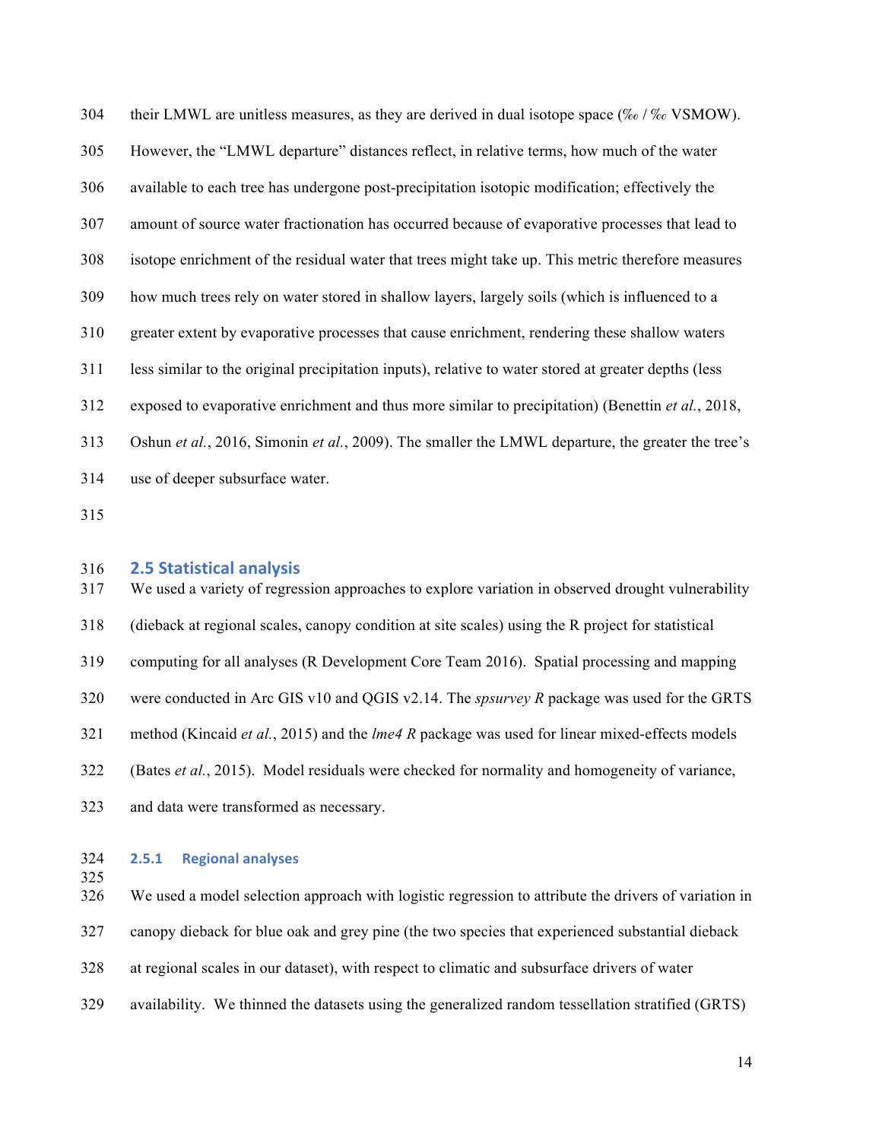304 their LMWL are unitless measures, as they are derived in dual isotope space (‰ / ‰ VSMOW). However, the "LMWL departure" distances reflect, in relative terms, how much of the water available to each tree has undergone post-precipitation isotopic modification; effectively the amount of source water fractionation has occurred because of evaporative processes that lead to isotope enrichment of the residual water that trees might take up. This metric therefore measures how much trees rely on water stored in shallow layers, largely soils (which is influenced to a greater extent by evaporative processes that cause enrichment, rendering these shallow waters less similar to the original precipitation inputs), relative to water stored at greater depths (less exposed to evaporative enrichment and thus more similar to precipitation) (Benettin *et al.*, 2018, Oshun *et al.*, 2016, Simonin *et al.*, 2009). The smaller the LMWL departure, the greater the tree's use of deeper subsurface water.

### **2.5 Statistical analysis**

 We used a variety of regression approaches to explore variation in observed drought vulnerability (dieback at regional scales, canopy condition at site scales) using the R project for statistical computing for all analyses (R Development Core Team 2016). Spatial processing and mapping were conducted in Arc GIS v10 and QGIS v2.14. The *spsurvey R* package was used for the GRTS method (Kincaid *et al.*, 2015) and the *lme4 R* package was used for linear mixed-effects models (Bates *et al.*, 2015). Model residuals were checked for normality and homogeneity of variance, and data were transformed as necessary.

### **2.5.1 Regional analyses**

We used a model selection approach with logistic regression to attribute the drivers of variation in

canopy dieback for blue oak and grey pine (the two species that experienced substantial dieback

- at regional scales in our dataset), with respect to climatic and subsurface drivers of water
- availability. We thinned the datasets using the generalized random tessellation stratified (GRTS)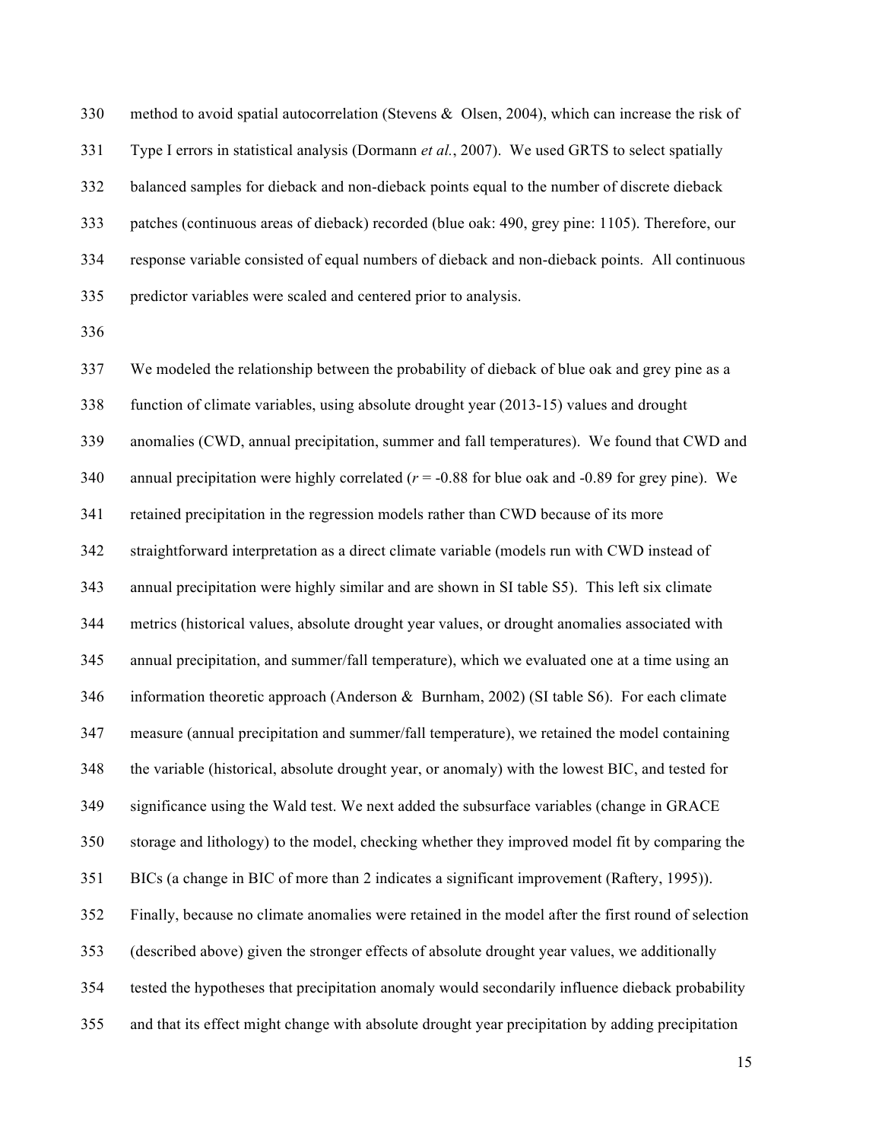method to avoid spatial autocorrelation (Stevens & Olsen, 2004), which can increase the risk of Type I errors in statistical analysis (Dormann *et al.*, 2007). We used GRTS to select spatially balanced samples for dieback and non-dieback points equal to the number of discrete dieback patches (continuous areas of dieback) recorded (blue oak: 490, grey pine: 1105). Therefore, our response variable consisted of equal numbers of dieback and non-dieback points. All continuous predictor variables were scaled and centered prior to analysis.

 We modeled the relationship between the probability of dieback of blue oak and grey pine as a function of climate variables, using absolute drought year (2013-15) values and drought anomalies (CWD, annual precipitation, summer and fall temperatures). We found that CWD and 340 annual precipitation were highly correlated  $(r = -0.88$  for blue oak and  $-0.89$  for grey pine). We retained precipitation in the regression models rather than CWD because of its more straightforward interpretation as a direct climate variable (models run with CWD instead of annual precipitation were highly similar and are shown in SI table S5). This left six climate metrics (historical values, absolute drought year values, or drought anomalies associated with annual precipitation, and summer/fall temperature), which we evaluated one at a time using an information theoretic approach (Anderson & Burnham, 2002) (SI table S6). For each climate measure (annual precipitation and summer/fall temperature), we retained the model containing the variable (historical, absolute drought year, or anomaly) with the lowest BIC, and tested for significance using the Wald test. We next added the subsurface variables (change in GRACE storage and lithology) to the model, checking whether they improved model fit by comparing the BICs (a change in BIC of more than 2 indicates a significant improvement (Raftery, 1995)). Finally, because no climate anomalies were retained in the model after the first round of selection (described above) given the stronger effects of absolute drought year values, we additionally tested the hypotheses that precipitation anomaly would secondarily influence dieback probability and that its effect might change with absolute drought year precipitation by adding precipitation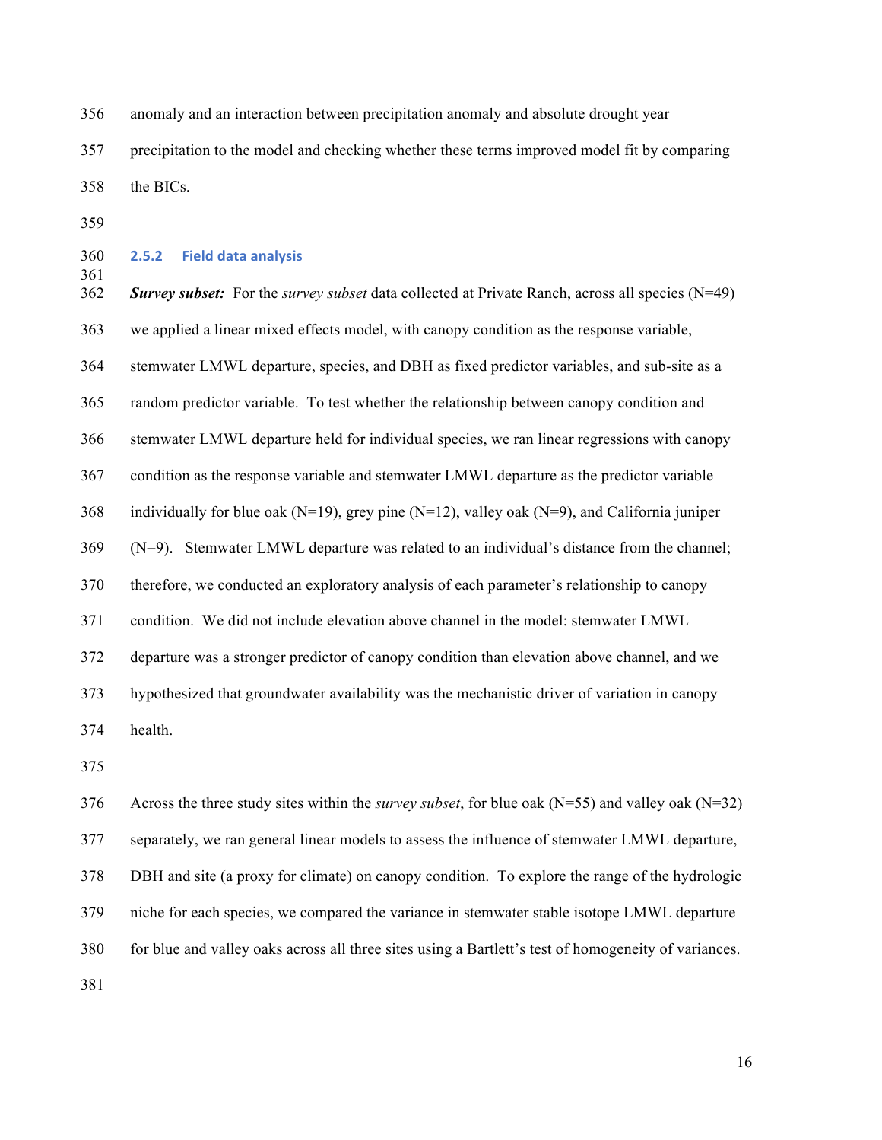anomaly and an interaction between precipitation anomaly and absolute drought year precipitation to the model and checking whether these terms improved model fit by comparing the BICs.

## **2.5.2 Field data analysis**

 *Survey subset:* For the *survey subset* data collected at Private Ranch, across all species (N=49) we applied a linear mixed effects model, with canopy condition as the response variable, stemwater LMWL departure, species, and DBH as fixed predictor variables, and sub-site as a random predictor variable. To test whether the relationship between canopy condition and stemwater LMWL departure held for individual species, we ran linear regressions with canopy condition as the response variable and stemwater LMWL departure as the predictor variable 368 individually for blue oak (N=19), grey pine (N=12), valley oak (N=9), and California juniper (N=9). Stemwater LMWL departure was related to an individual's distance from the channel; therefore, we conducted an exploratory analysis of each parameter's relationship to canopy condition. We did not include elevation above channel in the model: stemwater LMWL departure was a stronger predictor of canopy condition than elevation above channel, and we hypothesized that groundwater availability was the mechanistic driver of variation in canopy health.

 Across the three study sites within the *survey subset*, for blue oak (N=55) and valley oak (N=32) separately, we ran general linear models to assess the influence of stemwater LMWL departure, DBH and site (a proxy for climate) on canopy condition. To explore the range of the hydrologic niche for each species, we compared the variance in stemwater stable isotope LMWL departure for blue and valley oaks across all three sites using a Bartlett's test of homogeneity of variances.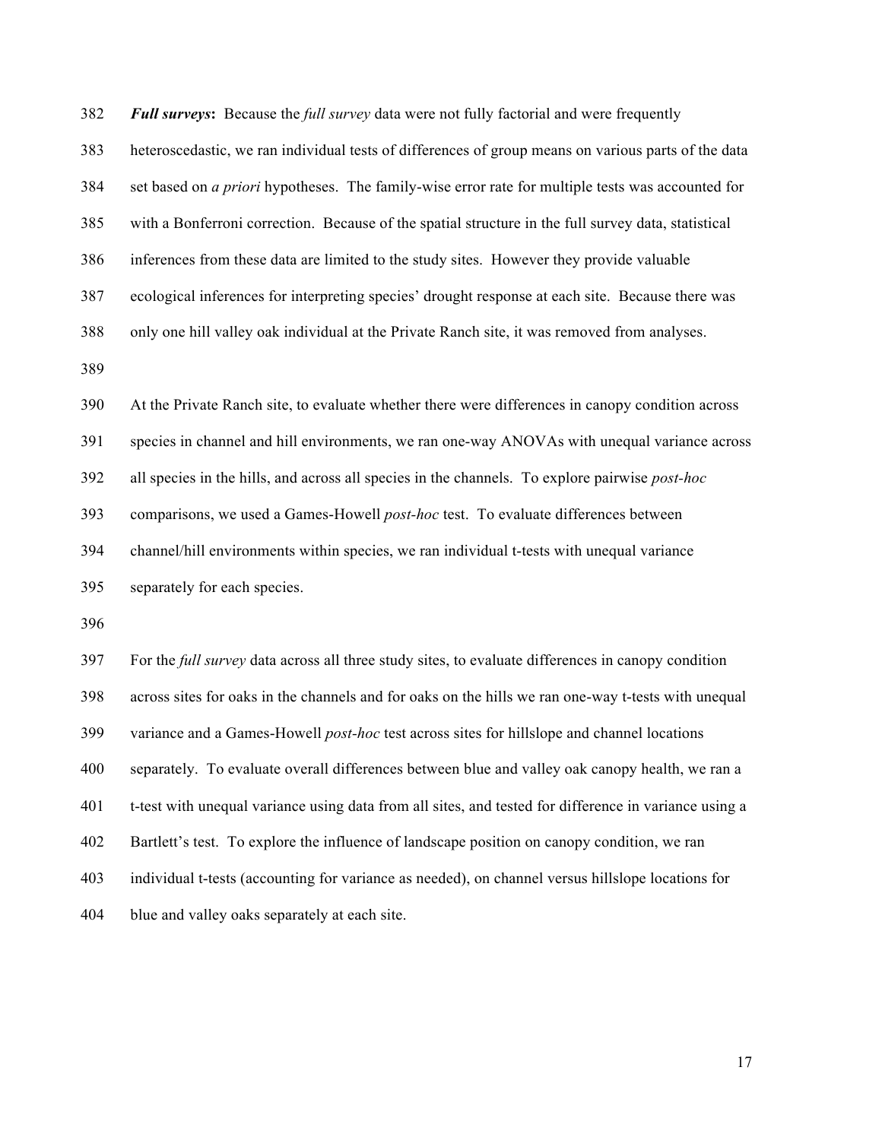*Full surveys***:** Because the *full survey* data were not fully factorial and were frequently heteroscedastic, we ran individual tests of differences of group means on various parts of the data set based on *a priori* hypotheses. The family-wise error rate for multiple tests was accounted for with a Bonferroni correction. Because of the spatial structure in the full survey data, statistical inferences from these data are limited to the study sites. However they provide valuable ecological inferences for interpreting species' drought response at each site. Because there was only one hill valley oak individual at the Private Ranch site, it was removed from analyses. At the Private Ranch site, to evaluate whether there were differences in canopy condition across species in channel and hill environments, we ran one-way ANOVAs with unequal variance across all species in the hills, and across all species in the channels. To explore pairwise *post-hoc* comparisons, we used a Games-Howell *post-hoc* test. To evaluate differences between channel/hill environments within species, we ran individual t-tests with unequal variance separately for each species. For the *full survey* data across all three study sites, to evaluate differences in canopy condition

 across sites for oaks in the channels and for oaks on the hills we ran one-way t-tests with unequal variance and a Games-Howell *post-hoc* test across sites for hillslope and channel locations separately. To evaluate overall differences between blue and valley oak canopy health, we ran a t-test with unequal variance using data from all sites, and tested for difference in variance using a Bartlett's test. To explore the influence of landscape position on canopy condition, we ran individual t-tests (accounting for variance as needed), on channel versus hillslope locations for blue and valley oaks separately at each site.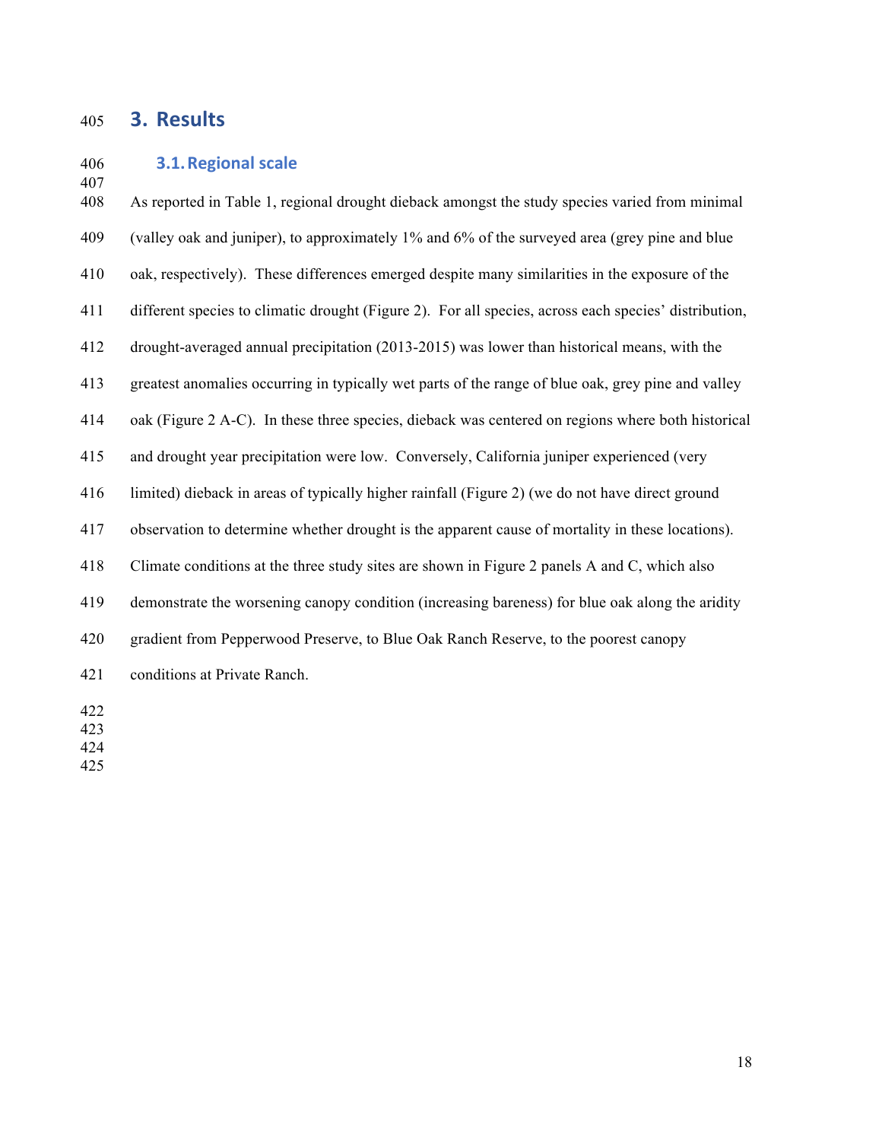## **3. Results**

### **3.1. Regional scale**

 As reported in Table 1, regional drought dieback amongst the study species varied from minimal (valley oak and juniper), to approximately 1% and 6% of the surveyed area (grey pine and blue oak, respectively). These differences emerged despite many similarities in the exposure of the different species to climatic drought (Figure 2). For all species, across each species' distribution, drought-averaged annual precipitation (2013-2015) was lower than historical means, with the greatest anomalies occurring in typically wet parts of the range of blue oak, grey pine and valley oak (Figure 2 A-C). In these three species, dieback was centered on regions where both historical and drought year precipitation were low. Conversely, California juniper experienced (very limited) dieback in areas of typically higher rainfall (Figure 2) (we do not have direct ground observation to determine whether drought is the apparent cause of mortality in these locations). Climate conditions at the three study sites are shown in Figure 2 panels A and C, which also demonstrate the worsening canopy condition (increasing bareness) for blue oak along the aridity gradient from Pepperwood Preserve, to Blue Oak Ranch Reserve, to the poorest canopy conditions at Private Ranch.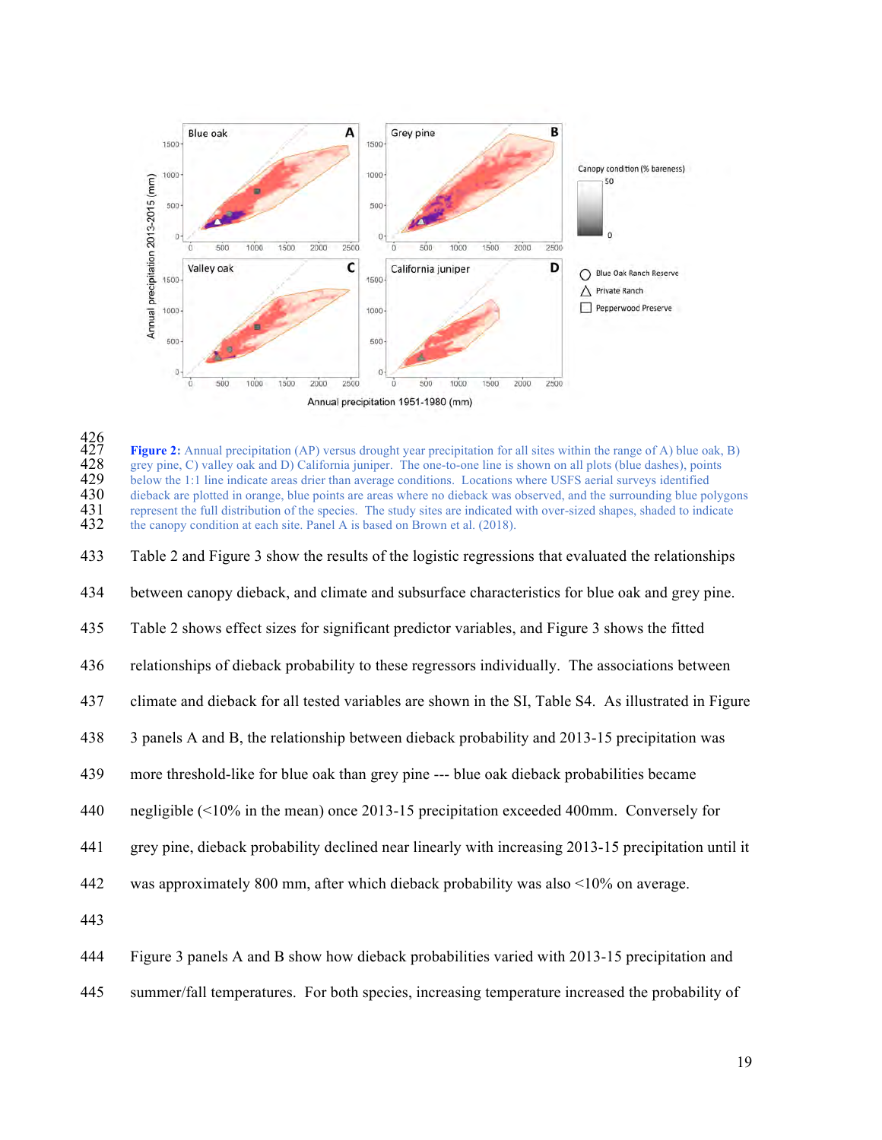

<br> $427$ <br> $428$ <br> $429$ Figure 2: Annual precipitation (AP) versus drought year precipitation for all sites within the range of A) blue oak, B) grey pine, C) valley oak and D) California juniper. The one-to-one line is shown on all plots (blue dashes), points 429 below the 1:1 line indicate areas drier than average conditions. Locations where USFS aerial surveys identified dieback are plotted in orange, blue points are areas where no dieback was observed, and the surrounding bl 430 dieback are plotted in orange, blue points are areas where no dieback was observed, and the surrounding blue polygons represent the full distribution of the species. The study sites are indicated with over-sized shapes represent the full distribution of the species. The study sites are indicated with over-sized shapes, shaded to indicate the canopy condition at each site. Panel A is based on Brown et al. (2018).

Table 2 and Figure 3 show the results of the logistic regressions that evaluated the relationships

between canopy dieback, and climate and subsurface characteristics for blue oak and grey pine.

Table 2 shows effect sizes for significant predictor variables, and Figure 3 shows the fitted

relationships of dieback probability to these regressors individually. The associations between

- climate and dieback for all tested variables are shown in the SI, Table S4. As illustrated in Figure
- 3 panels A and B, the relationship between dieback probability and 2013-15 precipitation was
- more threshold-like for blue oak than grey pine --- blue oak dieback probabilities became
- negligible (<10% in the mean) once 2013-15 precipitation exceeded 400mm. Conversely for
- grey pine, dieback probability declined near linearly with increasing 2013-15 precipitation until it
- was approximately 800 mm, after which dieback probability was also <10% on average.
- 
- Figure 3 panels A and B show how dieback probabilities varied with 2013-15 precipitation and
- summer/fall temperatures. For both species, increasing temperature increased the probability of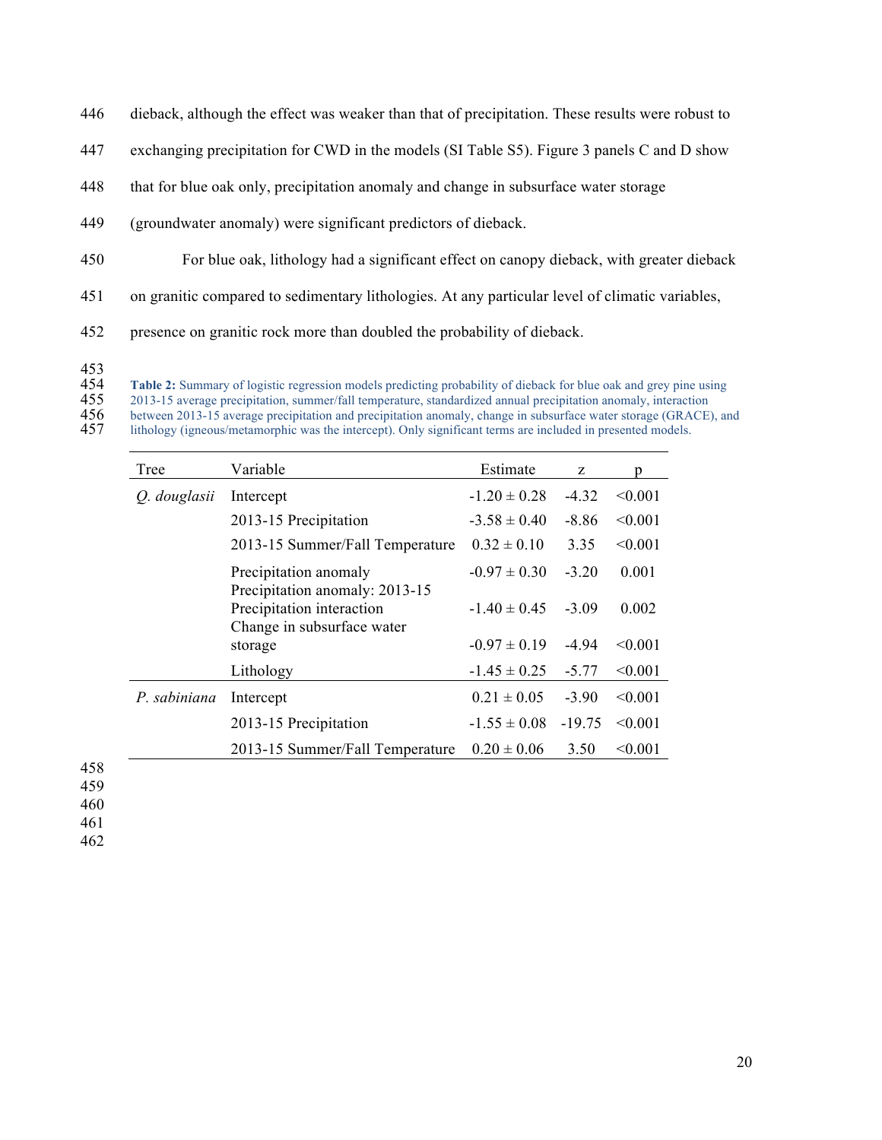- 446 dieback, although the effect was weaker than that of precipitation. These results were robust to
- 447 exchanging precipitation for CWD in the models (SI Table S5). Figure 3 panels C and D show
- 448 that for blue oak only, precipitation anomaly and change in subsurface water storage
- 449 (groundwater anomaly) were significant predictors of dieback.
- 450 For blue oak, lithology had a significant effect on canopy dieback, with greater dieback
- 451 on granitic compared to sedimentary lithologies. At any particular level of climatic variables,
- 452 presence on granitic rock more than doubled the probability of dieback.
- 453<br>454

**Table 2:** Summary of logistic regression models predicting probability of dieback for blue oak and grey pine using 2013-15 average precipitation, summer/fall temperature, standardized annual precipitation anomaly, interac

- 
- 2013-15 average precipitation, summer/fall temperature, standardized annual precipitation anomaly, interaction<br>456 between 2013-15 average precipitation and precipitation anomaly, change in subsurface water storage (GRACE<br> between 2013-15 average precipitation and precipitation anomaly, change in subsurface water storage (GRACE), and

lithology (igneous/metamorphic was the intercept). Only significant terms are included in presented models.

| Tree         | Variable                                                | Estimate         | Z        | D            |
|--------------|---------------------------------------------------------|------------------|----------|--------------|
| O. douglasii | Intercept                                               | $-1.20 \pm 0.28$ | $-4.32$  | $\leq 0.001$ |
|              | 2013-15 Precipitation                                   | $-3.58 \pm 0.40$ | $-8.86$  | < 0.001      |
|              | 2013-15 Summer/Fall Temperature                         | $0.32 \pm 0.10$  | 3.35     | < 0.001      |
|              | Precipitation anomaly<br>Precipitation anomaly: 2013-15 | $-0.97 \pm 0.30$ | $-3.20$  | 0.001        |
|              | Precipitation interaction<br>Change in subsurface water | $-1.40 \pm 0.45$ | $-3.09$  | 0.002        |
|              | storage                                                 | $-0.97 \pm 0.19$ | $-4.94$  | < 0.001      |
|              | Lithology                                               | $-1.45 \pm 0.25$ | $-5.77$  | < 0.001      |
| P. sabiniana | Intercept                                               | $0.21 \pm 0.05$  | $-3.90$  | < 0.001      |
|              | 2013-15 Precipitation                                   | $-1.55 \pm 0.08$ | $-19.75$ | < 0.001      |
|              | 2013-15 Summer/Fall Temperature                         | $0.20 \pm 0.06$  | 3.50     | < 0.001      |

458

459 460

461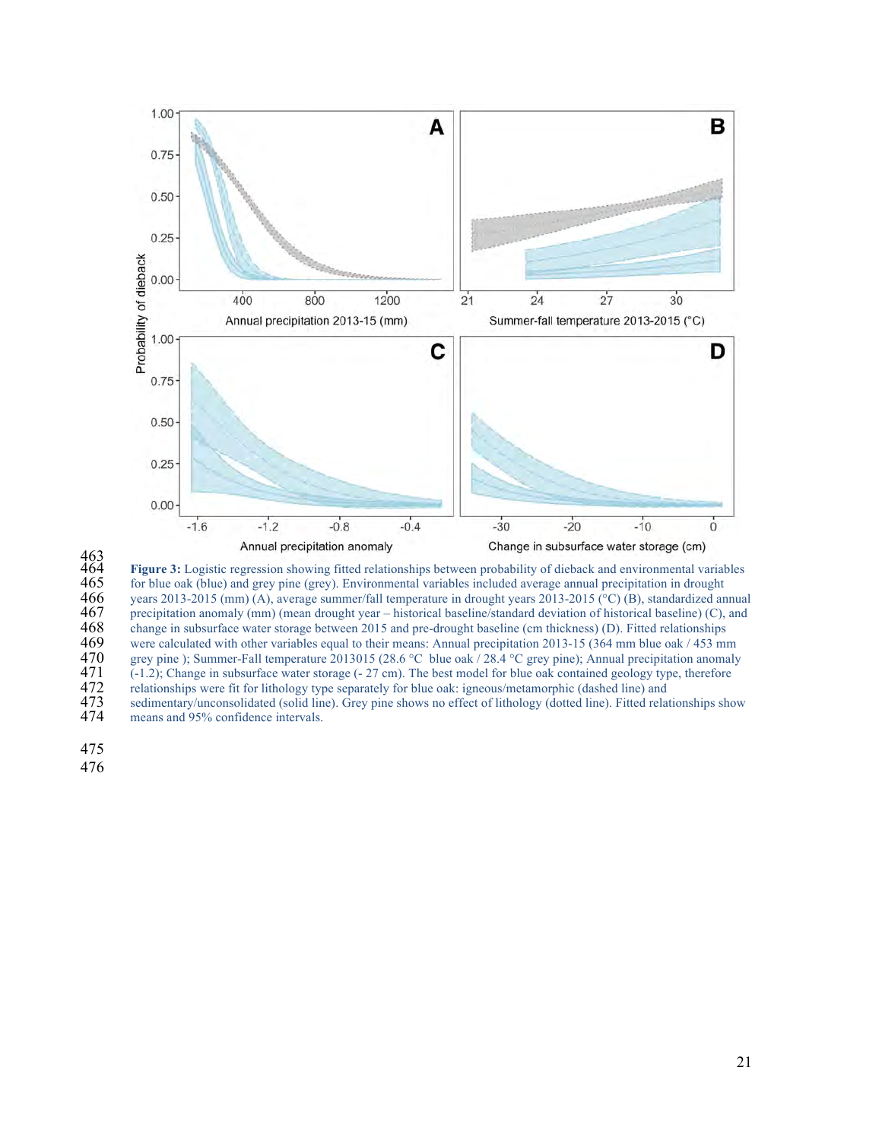

463<br>464 464 **Figure 3:** Logistic regression showing fitted relationships between probability of dieback and environmental variables 465 for blue oak (blue) and grey pine (grey). Environmental variables included average annual precipitation in drought<br>466 gears 2013-2015 (mm) (A), average summer/fall temperature in drought years 2013-2015 (°C) (B), stan 466 years 2013-2015 (mm) (A), average summer/fall temperature in drought years 2013-2015 (°C) (B), standardized annual precipitation anomaly (mm) (mean drought year – historical baseline/standard deviation of historical ba 467 precipitation anomaly (mm) (mean drought year – historical baseline/standard deviation of historical baseline) (C), and change in subsurface water storage between 2015 and pre-drought baseline (cm thickness) (D). Fitte 468 change in subsurface water storage between 2015 and pre-drought baseline (cm thickness) (D). Fitted relationships were calculated with other variables equal to their means: Annual precipitation 2013-15 (364 mm blue oak 469 were calculated with other variables equal to their means: Annual precipitation 2013-15 (364 mm blue oak / 453 mm 470 grey pine); Summer-Fall temperature 2013015 (28.6 °C blue oak / 28.4 °C grey pine); Annual precipita 470 grey pine ); Summer-Fall temperature 2013015 (28.6 °C blue oak / 28.4 °C grey pine); Annual precipitation anomaly 471 (-1.2); Change in subsurface water storage (- 27 cm). The best model for blue oak contained geology 471 (-1.2); Change in subsurface water storage (-  $27 \text{ cm}$ ). The best model for blue oak contained geology type, therefore relationships were fit for lithology type separately for blue oak: igneous/metamorphic (dashed li 472 relationships were fit for lithology type separately for blue oak: igneous/metamorphic (dashed line) and<br>473 sedimentary/unconsolidated (solid line). Grey pine shows no effect of lithology (dotted line). Fitted relatio 473 sedimentary/unconsolidated (solid line). Grey pine shows no effect of lithology (dotted line). Fitted relationships show means and 95% confidence intervals.

means and 95% confidence intervals.

475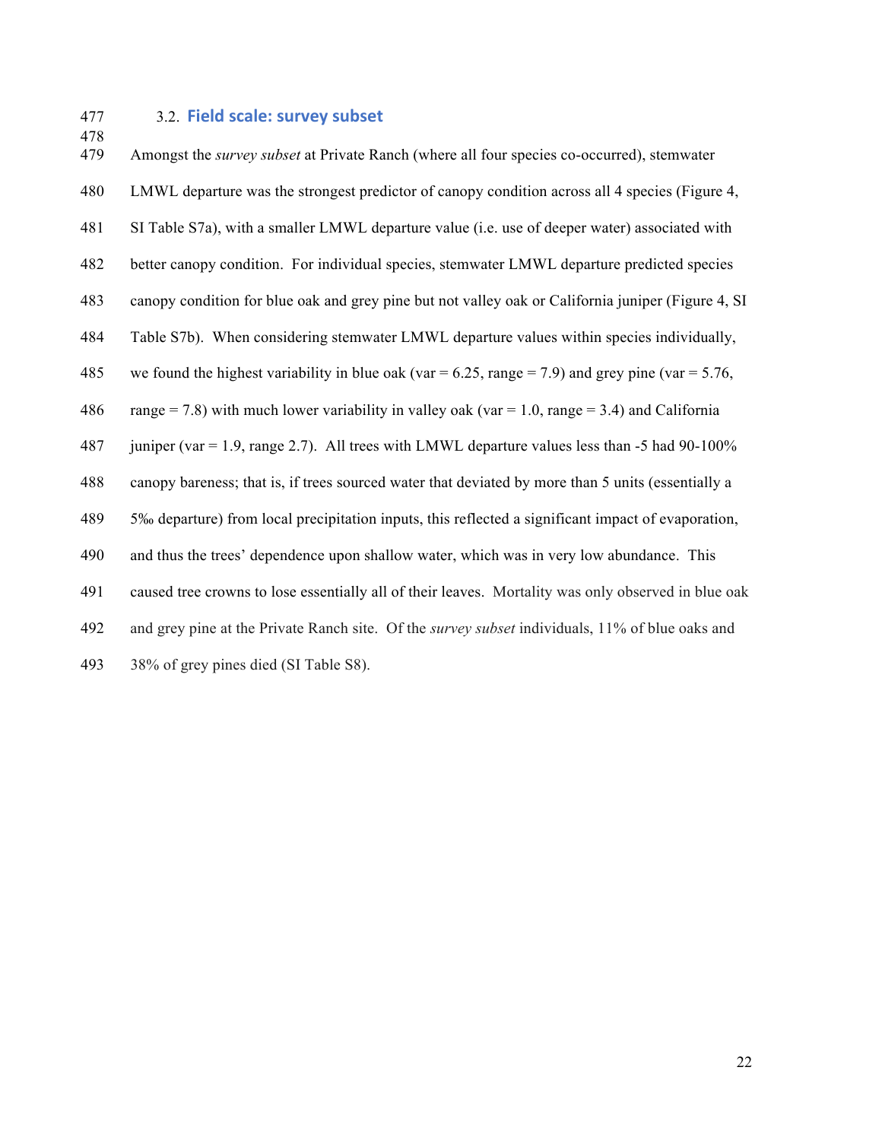## 477 3.2. **Field scale: survey subset**

 Amongst the *survey subset* at Private Ranch (where all four species co-occurred), stemwater LMWL departure was the strongest predictor of canopy condition across all 4 species (Figure 4, SI Table S7a), with a smaller LMWL departure value (i.e. use of deeper water) associated with better canopy condition. For individual species, stemwater LMWL departure predicted species canopy condition for blue oak and grey pine but not valley oak or California juniper (Figure 4, SI Table S7b). When considering stemwater LMWL departure values within species individually, 485 we found the highest variability in blue oak (var  $= 6.25$ , range  $= 7.9$ ) and grey pine (var  $= 5.76$ , 486 range = 7.8) with much lower variability in valley oak (var = 1.0, range = 3.4) and California juniper (var = 1.9, range 2.7). All trees with LMWL departure values less than -5 had 90-100% canopy bareness; that is, if trees sourced water that deviated by more than 5 units (essentially a 5‰ departure) from local precipitation inputs, this reflected a significant impact of evaporation, and thus the trees' dependence upon shallow water, which was in very low abundance. This caused tree crowns to lose essentially all of their leaves. Mortality was only observed in blue oak and grey pine at the Private Ranch site. Of the *survey subset* individuals, 11% of blue oaks and 38% of grey pines died (SI Table S8).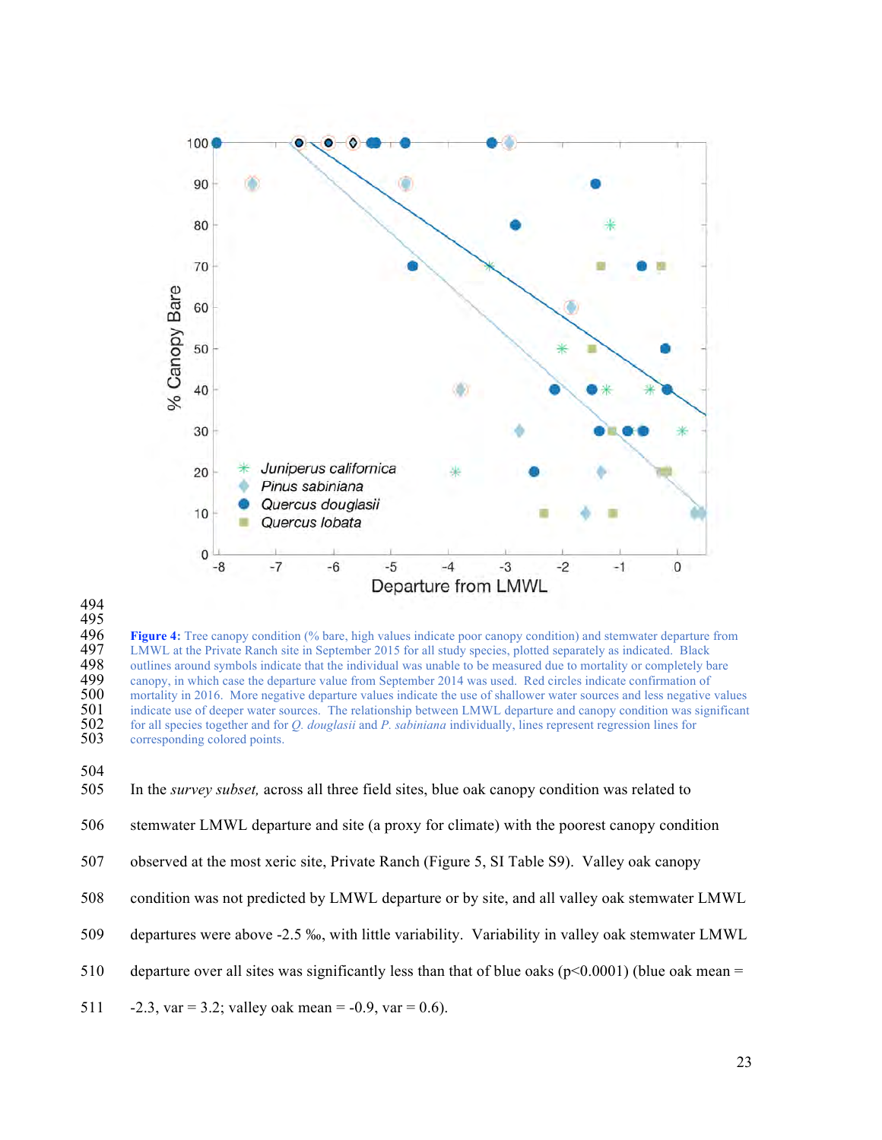

494

 $\frac{495}{496}$ **496 Figure 4:** Tree canopy condition (% bare, high values indicate poor canopy condition) and stemwater departure from **497** LMWL at the Private Ranch site in September 2015 for all study species, plotted separately as in 497 LMWL at the Private Ranch site in September 2015 for all study species, plotted separately as indicated. Black outlines around symbols indicate that the individual was unable to be measured due to mortality or complete 498 outlines around symbols indicate that the individual was unable to be measured due to mortality or completely bare<br>499 canopy, in which case the departure value from September 2014 was used. Red circles indicate confir 499 canopy, in which case the departure value from September 2014 was used. Red circles indicate confirmation of  $500$  mortality in 2016. More negative departure values indicate the use of shallower water sources and less 500 mortality in 2016. More negative departure values indicate the use of shallower water sources and less negative values indicate use of deeper water sources. The relationship between LMWL departure and canopy condition 501 indicate use of deeper water sources. The relationship between LMWL departure and canopy condition was significant for all species together and for *Q. douglasii* and *P. sabiniana* individually, lines represent regre 502 for all species together and for *Q. douglasii* and *P. sabiniana* individually, lines represent regression lines for corresponding colored points.



- 506 stemwater LMWL departure and site (a proxy for climate) with the poorest canopy condition
- 507 observed at the most xeric site, Private Ranch (Figure 5, SI Table S9). Valley oak canopy
- 508 condition was not predicted by LMWL departure or by site, and all valley oak stemwater LMWL
- 509 departures were above -2.5 ‰, with little variability. Variability in valley oak stemwater LMWL
- 510 departure over all sites was significantly less than that of blue oaks ( $p<0.0001$ ) (blue oak mean =
- 511  $-2.3$ , var = 3.2; valley oak mean =  $-0.9$ , var = 0.6).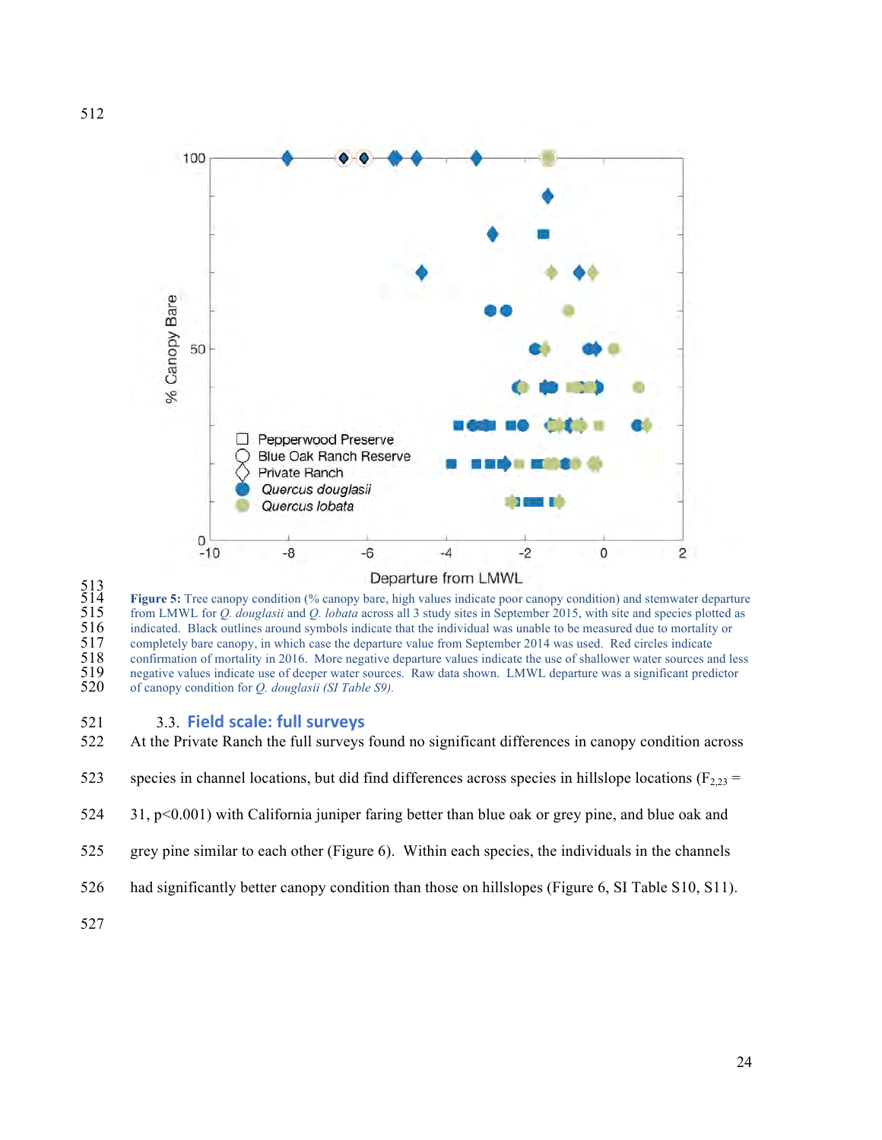

<br> $514$ <br> $515$ <br> $516$ <br> $517$ <br> $518$ Figure 5: Tree canopy condition (% canopy bare, high values indicate poor canopy condition) and stemwater departure from LMWL for *Q. douglasii* and *Q. lobata* across all 3 study sites in September 2015, with site and species plotted as indicated. Black outlines around symbols indicate that the individual was unable to be measured due to mortality or completely bare canopy, in which case the departure value from September 2014 was used. Red circles indicate 518 confirmation of mortality in 2016. More negative departure values indicate the use of shallower water sources and less negative values indicate use of deeper water sources. Raw data shown. LMWL departure was a signific negative values indicate use of deeper water sources. Raw data shown. LMWL departure was a significant predictor of canopy condition for *Q. douglasii (SI Table S9).*

- 521 3.3. **Field scale: full surveys**
- At the Private Ranch the full surveys found no significant differences in canopy condition across
- 523 species in channel locations, but did find differences across species in hillslope locations ( $F_{2,23}$  =
- 31, p<0.001) with California juniper faring better than blue oak or grey pine, and blue oak and
- grey pine similar to each other (Figure 6). Within each species, the individuals in the channels
- had significantly better canopy condition than those on hillslopes (Figure 6, SI Table S10, S11).
-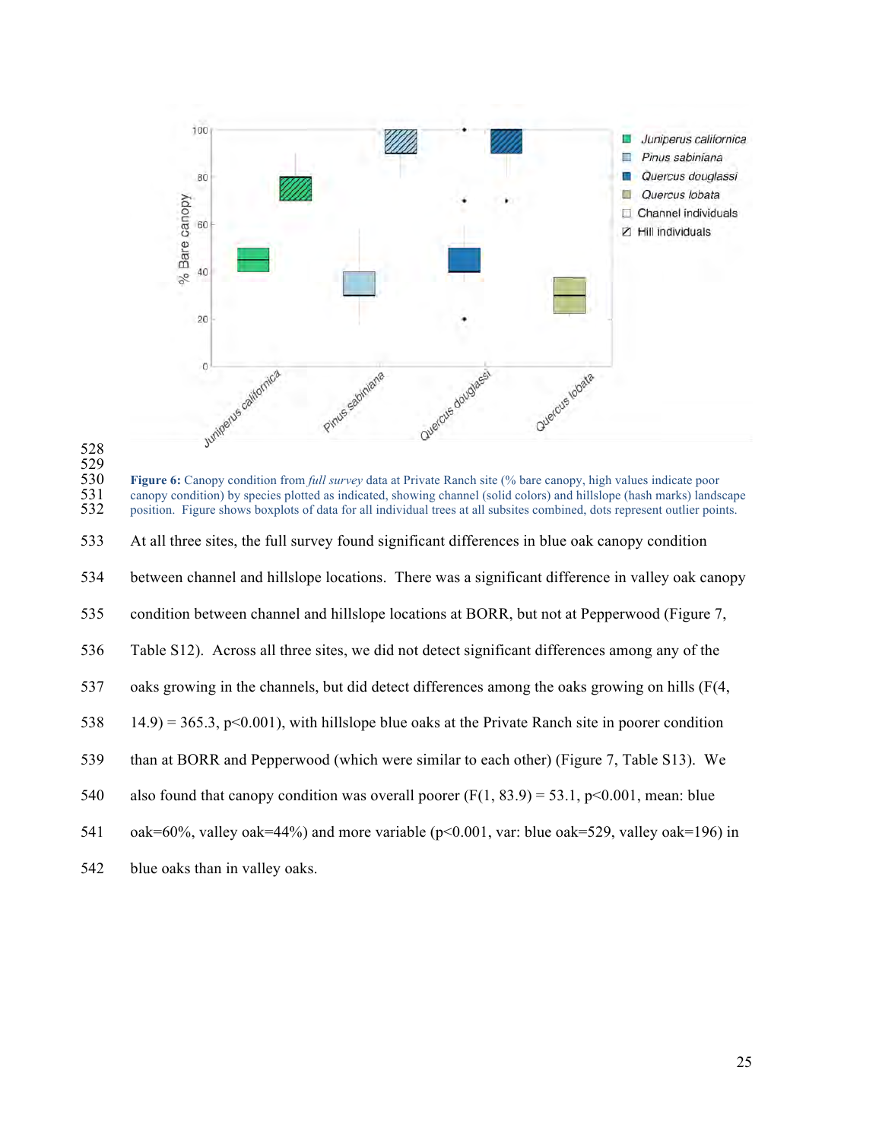

 **Figure 6:** Canopy condition from *full survey* data at Private Ranch site (% bare canopy, high values indicate poor canopy condition) by species plotted as indicated, showing channel (solid colors) and hillslope (hash mar canopy condition) by species plotted as indicated, showing channel (solid colors) and hillslope (hash marks) landscape position. Figure shows boxplots of data for all individual trees at all subsites combined, dots represent outlier points. At all three sites, the full survey found significant differences in blue oak canopy condition between channel and hillslope locations. There was a significant difference in valley oak canopy condition between channel and hillslope locations at BORR, but not at Pepperwood (Figure 7, Table S12). Across all three sites, we did not detect significant differences among any of the oaks growing in the channels, but did detect differences among the oaks growing on hills (F(4, 538 14.9) = 365.3, p<0.001), with hillslope blue oaks at the Private Ranch site in poorer condition than at BORR and Pepperwood (which were similar to each other) (Figure 7, Table S13). We 540 also found that canopy condition was overall poorer  $(F(1, 83.9) = 53.1, p<0.001$ , mean: blue oak=60%, valley oak=44%) and more variable (p<0.001, var: blue oak=529, valley oak=196) in

blue oaks than in valley oaks.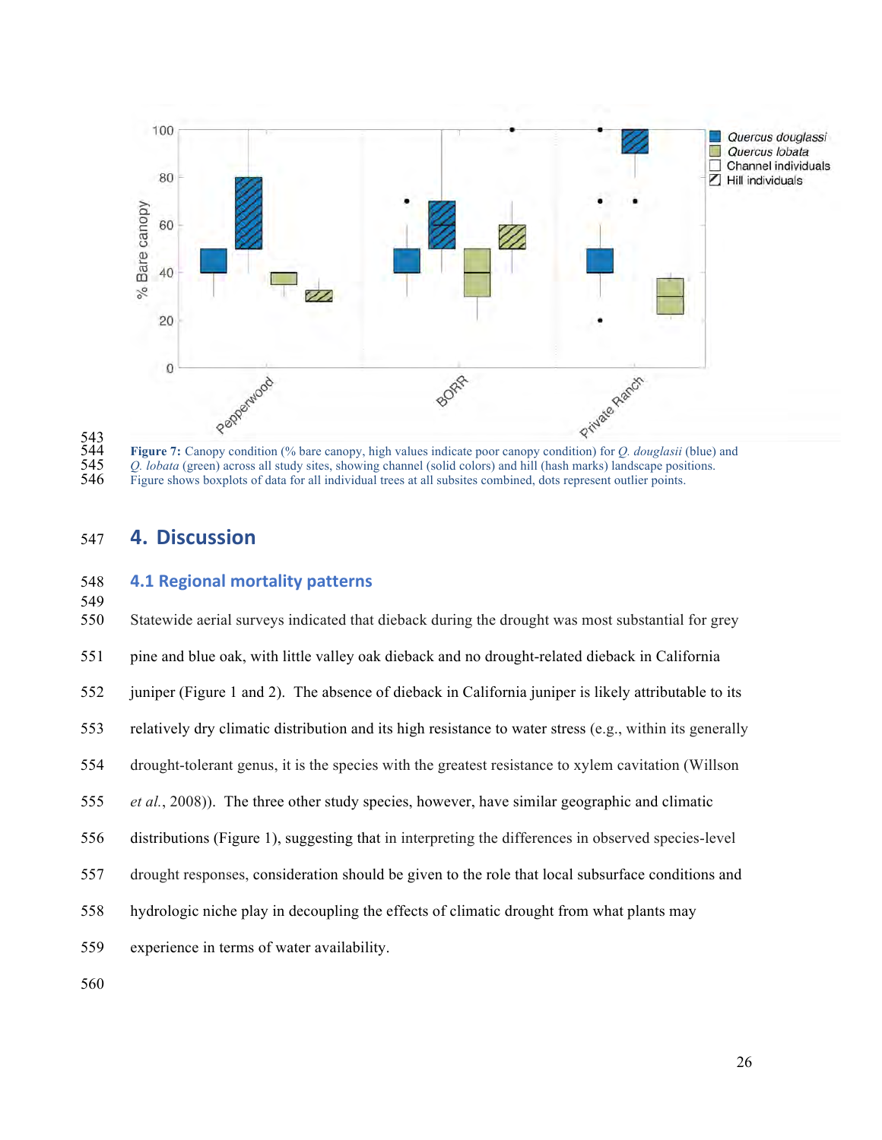

543<br>544<br>545<br>546 *Q. lobata* (green) across all study sites, showing channel (solid colors) and hill (hash marks) landscape positions. Figure shows boxplots of data for all individual trees at all subsites combined, dots represent outlier points.

# **4. Discussion**

## **4.1 Regional mortality patterns**

| 550 | Statewide aerial surveys indicated that dieback during the drought was most substantial for grey         |
|-----|----------------------------------------------------------------------------------------------------------|
| 551 | pine and blue oak, with little valley oak dieback and no drought-related dieback in California           |
| 552 | juniper (Figure 1 and 2). The absence of dieback in California juniper is likely attributable to its     |
| 553 | relatively dry climatic distribution and its high resistance to water stress (e.g., within its generally |
| 554 | drought-tolerant genus, it is the species with the greatest resistance to xylem cavitation (Willson)     |
| 555 | <i>et al.</i> , 2008)). The three other study species, however, have similar geographic and climatic     |
| 556 | distributions (Figure 1), suggesting that in interpreting the differences in observed species-level      |
| 557 | drought responses, consideration should be given to the role that local subsurface conditions and        |
| 558 | hydrologic niche play in decoupling the effects of climatic drought from what plants may                 |
| 559 | experience in terms of water availability.                                                               |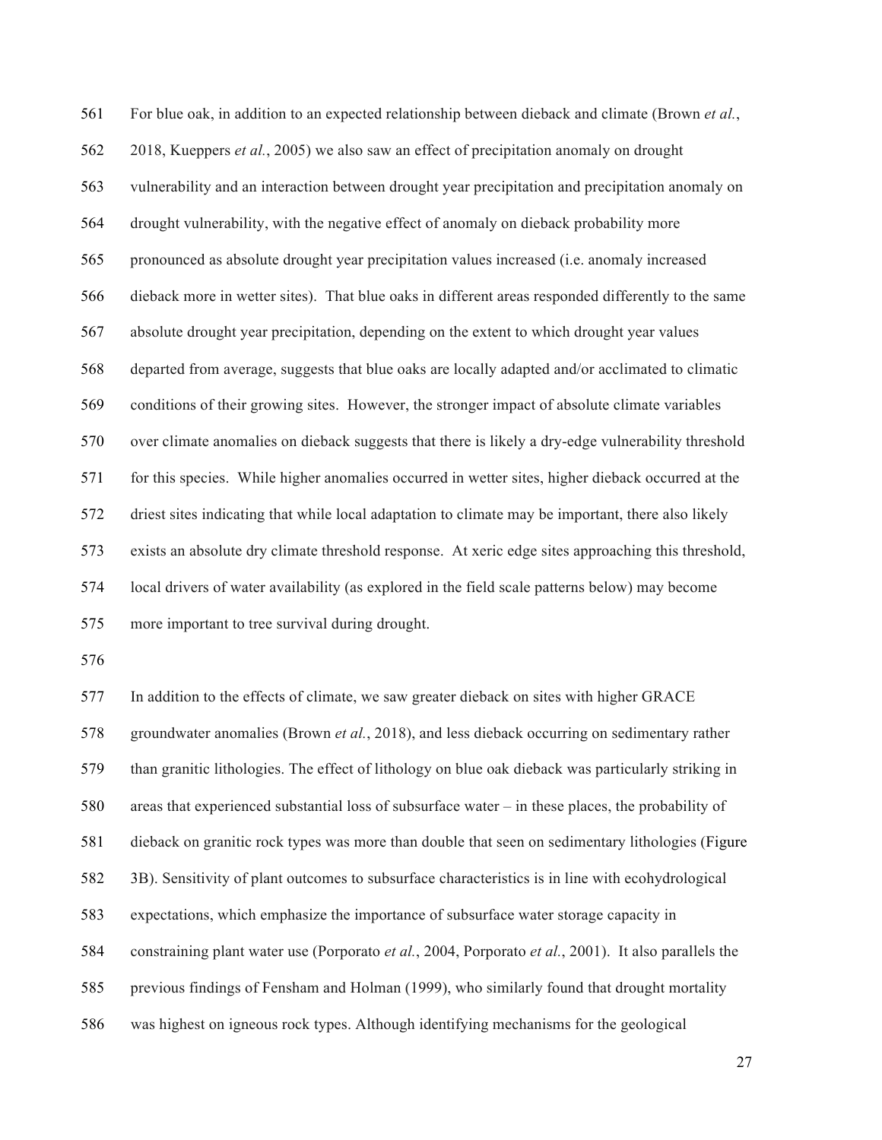For blue oak, in addition to an expected relationship between dieback and climate (Brown *et al.*, 2018, Kueppers *et al.*, 2005) we also saw an effect of precipitation anomaly on drought vulnerability and an interaction between drought year precipitation and precipitation anomaly on drought vulnerability, with the negative effect of anomaly on dieback probability more pronounced as absolute drought year precipitation values increased (i.e. anomaly increased dieback more in wetter sites). That blue oaks in different areas responded differently to the same absolute drought year precipitation, depending on the extent to which drought year values departed from average, suggests that blue oaks are locally adapted and/or acclimated to climatic conditions of their growing sites. However, the stronger impact of absolute climate variables over climate anomalies on dieback suggests that there is likely a dry-edge vulnerability threshold for this species. While higher anomalies occurred in wetter sites, higher dieback occurred at the driest sites indicating that while local adaptation to climate may be important, there also likely exists an absolute dry climate threshold response. At xeric edge sites approaching this threshold, local drivers of water availability (as explored in the field scale patterns below) may become more important to tree survival during drought.

 In addition to the effects of climate, we saw greater dieback on sites with higher GRACE groundwater anomalies (Brown *et al.*, 2018), and less dieback occurring on sedimentary rather than granitic lithologies. The effect of lithology on blue oak dieback was particularly striking in areas that experienced substantial loss of subsurface water – in these places, the probability of dieback on granitic rock types was more than double that seen on sedimentary lithologies (Figure 3B). Sensitivity of plant outcomes to subsurface characteristics is in line with ecohydrological expectations, which emphasize the importance of subsurface water storage capacity in constraining plant water use (Porporato *et al.*, 2004, Porporato *et al.*, 2001). It also parallels the previous findings of Fensham and Holman (1999), who similarly found that drought mortality was highest on igneous rock types. Although identifying mechanisms for the geological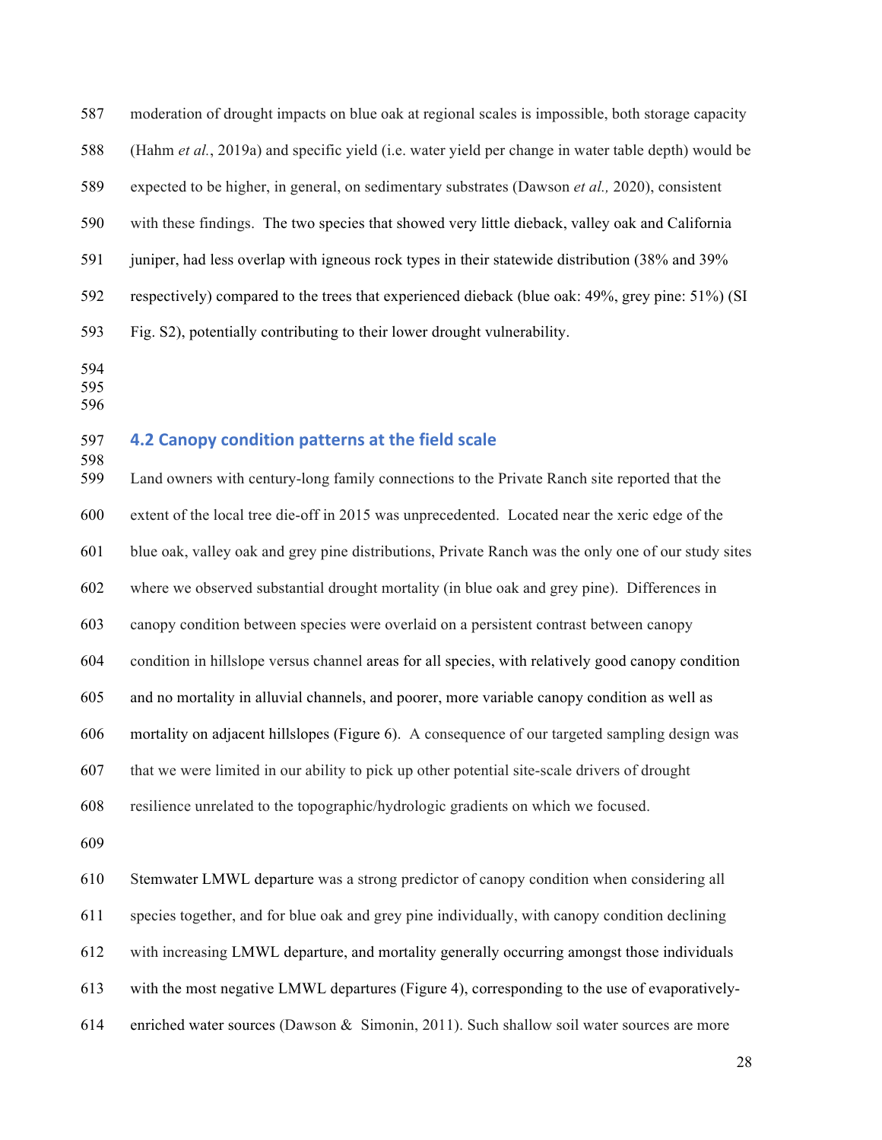moderation of drought impacts on blue oak at regional scales is impossible, both storage capacity (Hahm *et al.*, 2019a) and specific yield (i.e. water yield per change in water table depth) would be expected to be higher, in general, on sedimentary substrates (Dawson *et al.,* 2020), consistent with these findings. The two species that showed very little dieback, valley oak and California juniper, had less overlap with igneous rock types in their statewide distribution (38% and 39% respectively) compared to the trees that experienced dieback (blue oak: 49%, grey pine: 51%) (SI Fig. S2), potentially contributing to their lower drought vulnerability.

- 
- 
- 

### **4.2 Canopy condition patterns at the field scale**

 Land owners with century-long family connections to the Private Ranch site reported that the extent of the local tree die-off in 2015 was unprecedented. Located near the xeric edge of the blue oak, valley oak and grey pine distributions, Private Ranch was the only one of our study sites where we observed substantial drought mortality (in blue oak and grey pine). Differences in canopy condition between species were overlaid on a persistent contrast between canopy condition in hillslope versus channel areas for all species, with relatively good canopy condition and no mortality in alluvial channels, and poorer, more variable canopy condition as well as mortality on adjacent hillslopes (Figure 6). A consequence of our targeted sampling design was that we were limited in our ability to pick up other potential site-scale drivers of drought resilience unrelated to the topographic/hydrologic gradients on which we focused. Stemwater LMWL departure was a strong predictor of canopy condition when considering all species together, and for blue oak and grey pine individually, with canopy condition declining with increasing LMWL departure, and mortality generally occurring amongst those individuals

with the most negative LMWL departures (Figure 4), corresponding to the use of evaporatively-

enriched water sources (Dawson & Simonin, 2011). Such shallow soil water sources are more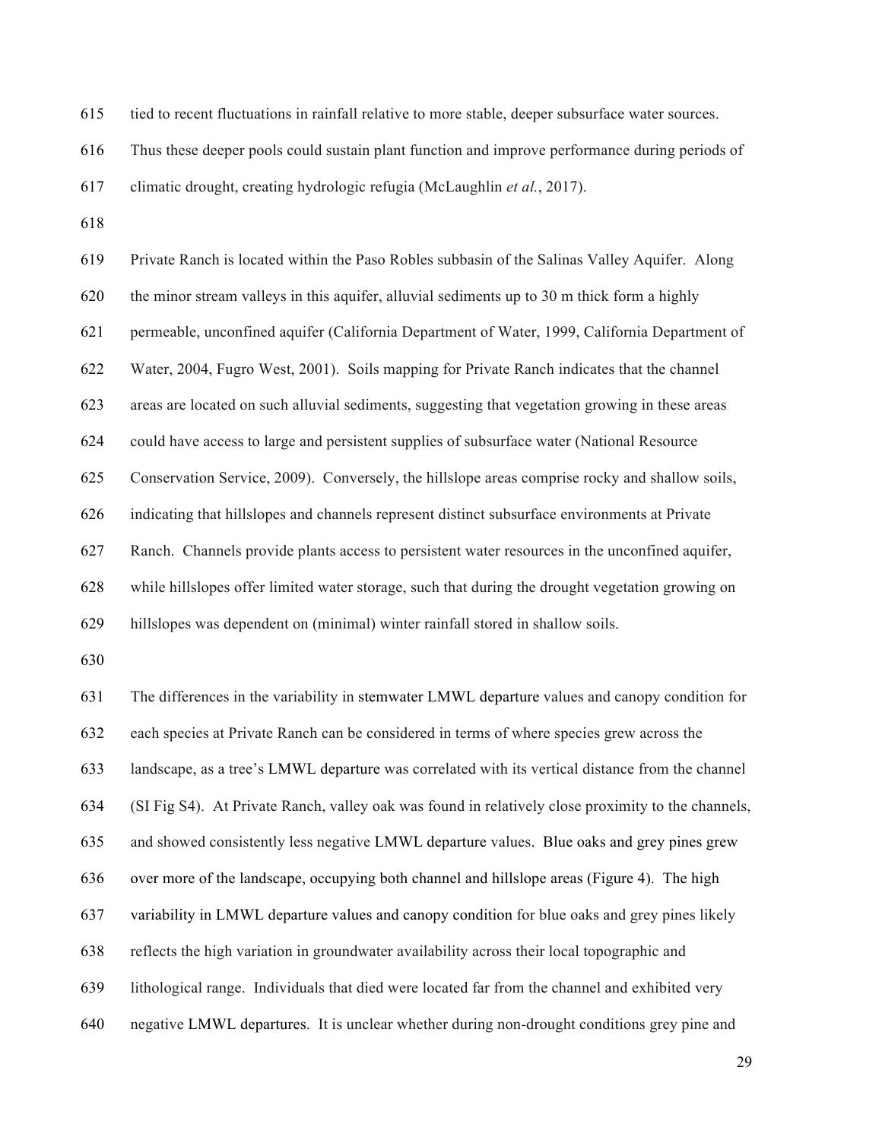tied to recent fluctuations in rainfall relative to more stable, deeper subsurface water sources.

Thus these deeper pools could sustain plant function and improve performance during periods of

climatic drought, creating hydrologic refugia (McLaughlin *et al.*, 2017).

 Private Ranch is located within the Paso Robles subbasin of the Salinas Valley Aquifer. Along the minor stream valleys in this aquifer, alluvial sediments up to 30 m thick form a highly permeable, unconfined aquifer (California Department of Water, 1999, California Department of Water, 2004, Fugro West, 2001). Soils mapping for Private Ranch indicates that the channel areas are located on such alluvial sediments, suggesting that vegetation growing in these areas could have access to large and persistent supplies of subsurface water (National Resource Conservation Service, 2009). Conversely, the hillslope areas comprise rocky and shallow soils, indicating that hillslopes and channels represent distinct subsurface environments at Private Ranch. Channels provide plants access to persistent water resources in the unconfined aquifer, while hillslopes offer limited water storage, such that during the drought vegetation growing on hillslopes was dependent on (minimal) winter rainfall stored in shallow soils. The differences in the variability in stemwater LMWL departure values and canopy condition for each species at Private Ranch can be considered in terms of where species grew across the landscape, as a tree's LMWL departure was correlated with its vertical distance from the channel (SI Fig S4). At Private Ranch, valley oak was found in relatively close proximity to the channels, and showed consistently less negative LMWL departure values. Blue oaks and grey pines grew over more of the landscape, occupying both channel and hillslope areas (Figure 4). The high variability in LMWL departure values and canopy condition for blue oaks and grey pines likely reflects the high variation in groundwater availability across their local topographic and lithological range. Individuals that died were located far from the channel and exhibited very negative LMWL departures. It is unclear whether during non-drought conditions grey pine and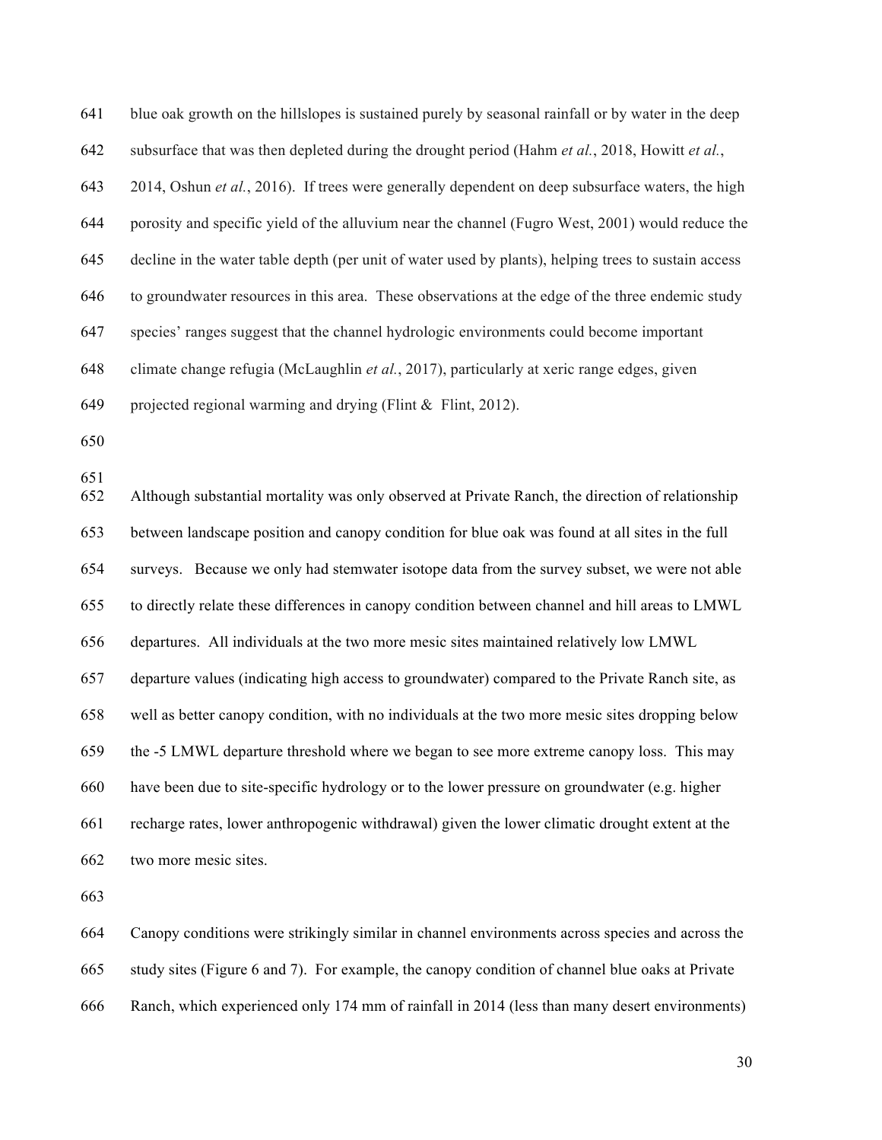blue oak growth on the hillslopes is sustained purely by seasonal rainfall or by water in the deep subsurface that was then depleted during the drought period (Hahm *et al.*, 2018, Howitt *et al.*, 2014, Oshun *et al.*, 2016). If trees were generally dependent on deep subsurface waters, the high porosity and specific yield of the alluvium near the channel (Fugro West, 2001) would reduce the decline in the water table depth (per unit of water used by plants), helping trees to sustain access to groundwater resources in this area. These observations at the edge of the three endemic study species' ranges suggest that the channel hydrologic environments could become important climate change refugia (McLaughlin *et al.*, 2017), particularly at xeric range edges, given projected regional warming and drying (Flint & Flint, 2012). Although substantial mortality was only observed at Private Ranch, the direction of relationship between landscape position and canopy condition for blue oak was found at all sites in the full surveys. Because we only had stemwater isotope data from the survey subset, we were not able to directly relate these differences in canopy condition between channel and hill areas to LMWL departures. All individuals at the two more mesic sites maintained relatively low LMWL

 departure values (indicating high access to groundwater) compared to the Private Ranch site, as well as better canopy condition, with no individuals at the two more mesic sites dropping below the -5 LMWL departure threshold where we began to see more extreme canopy loss. This may have been due to site-specific hydrology or to the lower pressure on groundwater (e.g. higher recharge rates, lower anthropogenic withdrawal) given the lower climatic drought extent at the two more mesic sites.

 Canopy conditions were strikingly similar in channel environments across species and across the study sites (Figure 6 and 7). For example, the canopy condition of channel blue oaks at Private Ranch, which experienced only 174 mm of rainfall in 2014 (less than many desert environments)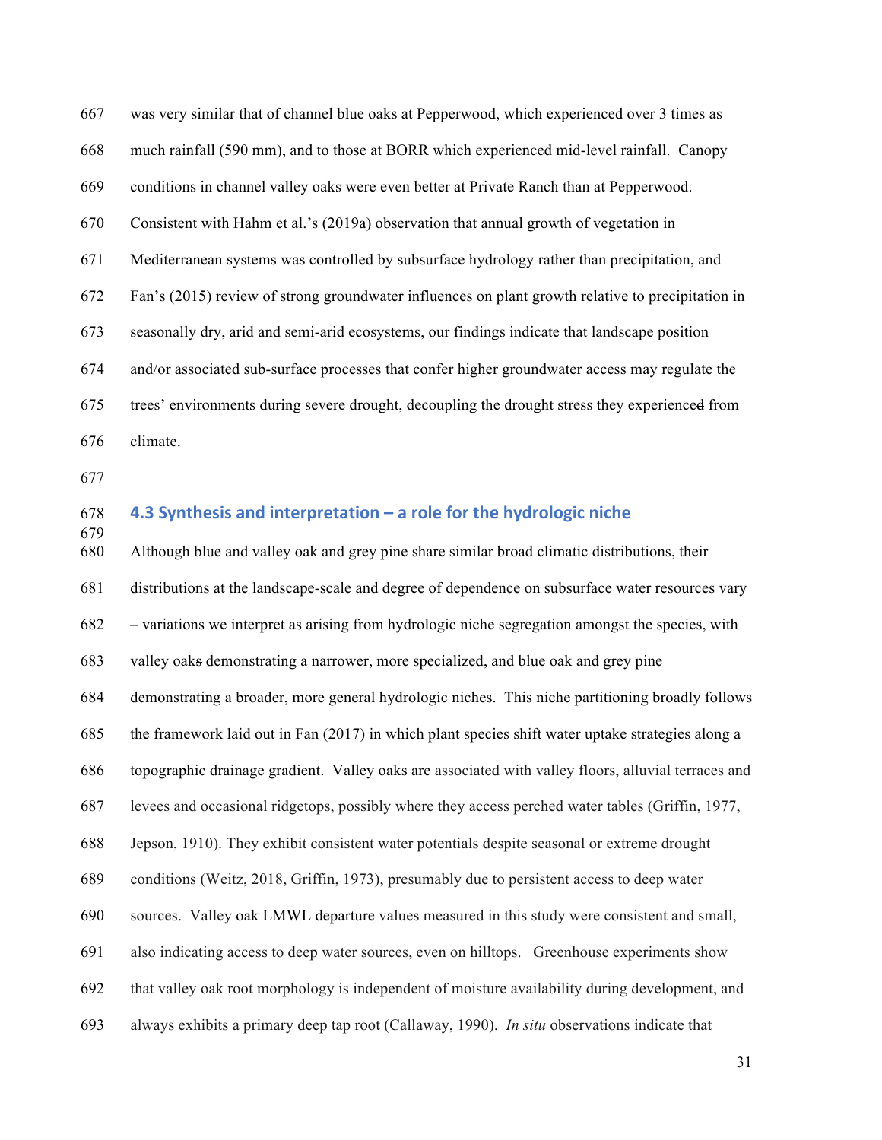was very similar that of channel blue oaks at Pepperwood, which experienced over 3 times as much rainfall (590 mm), and to those at BORR which experienced mid-level rainfall. Canopy conditions in channel valley oaks were even better at Private Ranch than at Pepperwood. Consistent with Hahm et al.'s (2019a) observation that annual growth of vegetation in Mediterranean systems was controlled by subsurface hydrology rather than precipitation, and Fan's (2015) review of strong groundwater influences on plant growth relative to precipitation in seasonally dry, arid and semi-arid ecosystems, our findings indicate that landscape position and/or associated sub-surface processes that confer higher groundwater access may regulate the trees' environments during severe drought, decoupling the drought stress they experienced from climate.

### **4.3 Synthesis and interpretation – a role for the hydrologic niche**

 Although blue and valley oak and grey pine share similar broad climatic distributions, their distributions at the landscape-scale and degree of dependence on subsurface water resources vary – variations we interpret as arising from hydrologic niche segregation amongst the species, with valley oaks demonstrating a narrower, more specialized, and blue oak and grey pine demonstrating a broader, more general hydrologic niches. This niche partitioning broadly follows the framework laid out in Fan (2017) in which plant species shift water uptake strategies along a topographic drainage gradient. Valley oaks are associated with valley floors, alluvial terraces and levees and occasional ridgetops, possibly where they access perched water tables (Griffin, 1977, Jepson, 1910). They exhibit consistent water potentials despite seasonal or extreme drought conditions (Weitz, 2018, Griffin, 1973), presumably due to persistent access to deep water sources. Valley oak LMWL departure values measured in this study were consistent and small, also indicating access to deep water sources, even on hilltops. Greenhouse experiments show that valley oak root morphology is independent of moisture availability during development, and always exhibits a primary deep tap root (Callaway, 1990). *In situ* observations indicate that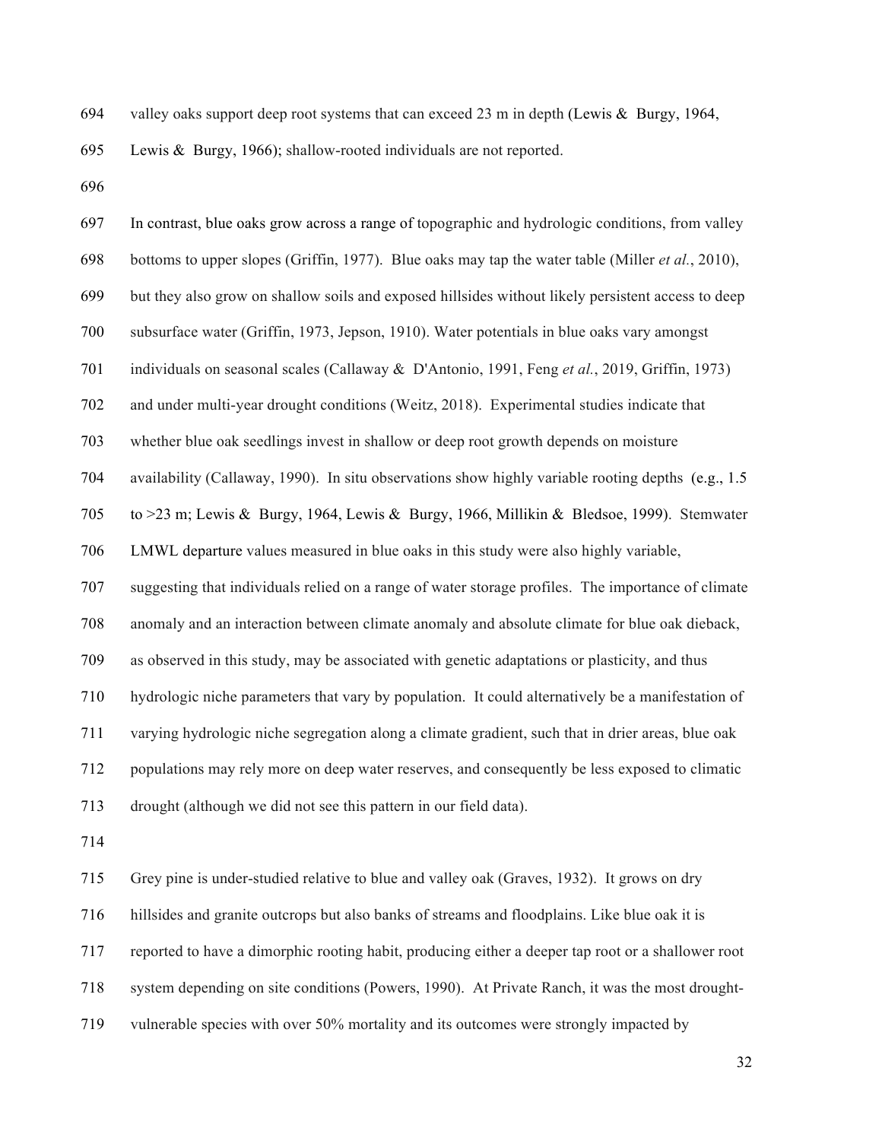valley oaks support deep root systems that can exceed 23 m in depth (Lewis & Burgy, 1964,

Lewis & Burgy, 1966); shallow-rooted individuals are not reported.

| 697 | In contrast, blue oaks grow across a range of topographic and hydrologic conditions, from valley          |
|-----|-----------------------------------------------------------------------------------------------------------|
| 698 | bottoms to upper slopes (Griffin, 1977). Blue oaks may tap the water table (Miller <i>et al.</i> , 2010), |
| 699 | but they also grow on shallow soils and exposed hillsides without likely persistent access to deep        |
| 700 | subsurface water (Griffin, 1973, Jepson, 1910). Water potentials in blue oaks vary amongst                |
| 701 | individuals on seasonal scales (Callaway & D'Antonio, 1991, Feng et al., 2019, Griffin, 1973)             |
| 702 | and under multi-year drought conditions (Weitz, 2018). Experimental studies indicate that                 |
| 703 | whether blue oak seedlings invest in shallow or deep root growth depends on moisture                      |
| 704 | availability (Callaway, 1990). In situ observations show highly variable rooting depths (e.g., 1.5)       |
| 705 | to >23 m; Lewis & Burgy, 1964, Lewis & Burgy, 1966, Millikin & Bledsoe, 1999). Stemwater                  |
| 706 | LMWL departure values measured in blue oaks in this study were also highly variable,                      |
| 707 | suggesting that individuals relied on a range of water storage profiles. The importance of climate        |
| 708 | anomaly and an interaction between climate anomaly and absolute climate for blue oak dieback,             |
| 709 | as observed in this study, may be associated with genetic adaptations or plasticity, and thus             |
| 710 | hydrologic niche parameters that vary by population. It could alternatively be a manifestation of         |
| 711 | varying hydrologic niche segregation along a climate gradient, such that in drier areas, blue oak         |
| 712 | populations may rely more on deep water reserves, and consequently be less exposed to climatic            |
| 713 | drought (although we did not see this pattern in our field data).                                         |
| 714 |                                                                                                           |

 Grey pine is under-studied relative to blue and valley oak (Graves, 1932). It grows on dry hillsides and granite outcrops but also banks of streams and floodplains. Like blue oak it is reported to have a dimorphic rooting habit, producing either a deeper tap root or a shallower root system depending on site conditions (Powers, 1990). At Private Ranch, it was the most drought-vulnerable species with over 50% mortality and its outcomes were strongly impacted by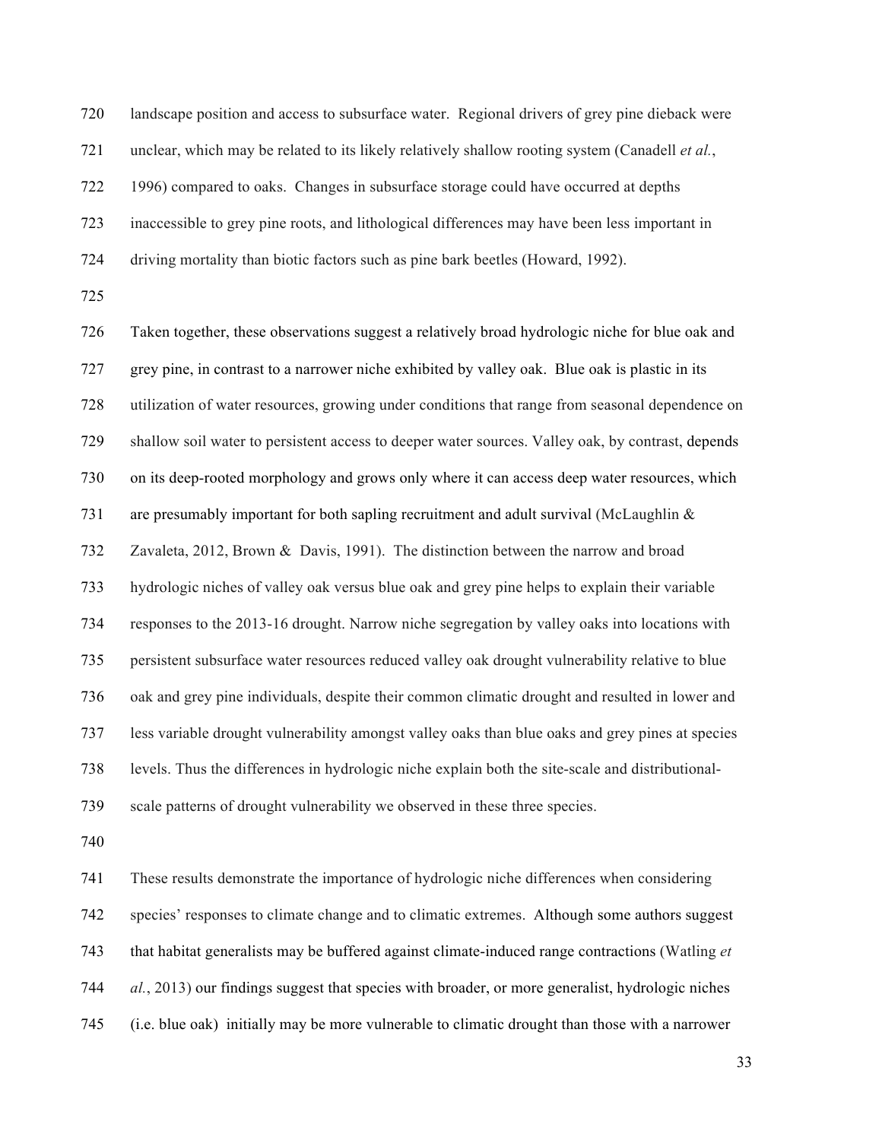landscape position and access to subsurface water. Regional drivers of grey pine dieback were unclear, which may be related to its likely relatively shallow rooting system (Canadell *et al.*, 1996) compared to oaks. Changes in subsurface storage could have occurred at depths inaccessible to grey pine roots, and lithological differences may have been less important in driving mortality than biotic factors such as pine bark beetles (Howard, 1992).

 Taken together, these observations suggest a relatively broad hydrologic niche for blue oak and grey pine, in contrast to a narrower niche exhibited by valley oak. Blue oak is plastic in its utilization of water resources, growing under conditions that range from seasonal dependence on shallow soil water to persistent access to deeper water sources. Valley oak, by contrast, depends on its deep-rooted morphology and grows only where it can access deep water resources, which are presumably important for both sapling recruitment and adult survival (McLaughlin & Zavaleta, 2012, Brown & Davis, 1991). The distinction between the narrow and broad hydrologic niches of valley oak versus blue oak and grey pine helps to explain their variable responses to the 2013-16 drought. Narrow niche segregation by valley oaks into locations with persistent subsurface water resources reduced valley oak drought vulnerability relative to blue oak and grey pine individuals, despite their common climatic drought and resulted in lower and less variable drought vulnerability amongst valley oaks than blue oaks and grey pines at species levels. Thus the differences in hydrologic niche explain both the site-scale and distributional-scale patterns of drought vulnerability we observed in these three species.

 These results demonstrate the importance of hydrologic niche differences when considering species' responses to climate change and to climatic extremes. Although some authors suggest that habitat generalists may be buffered against climate-induced range contractions (Watling *et al.*, 2013) our findings suggest that species with broader, or more generalist, hydrologic niches (i.e. blue oak) initially may be more vulnerable to climatic drought than those with a narrower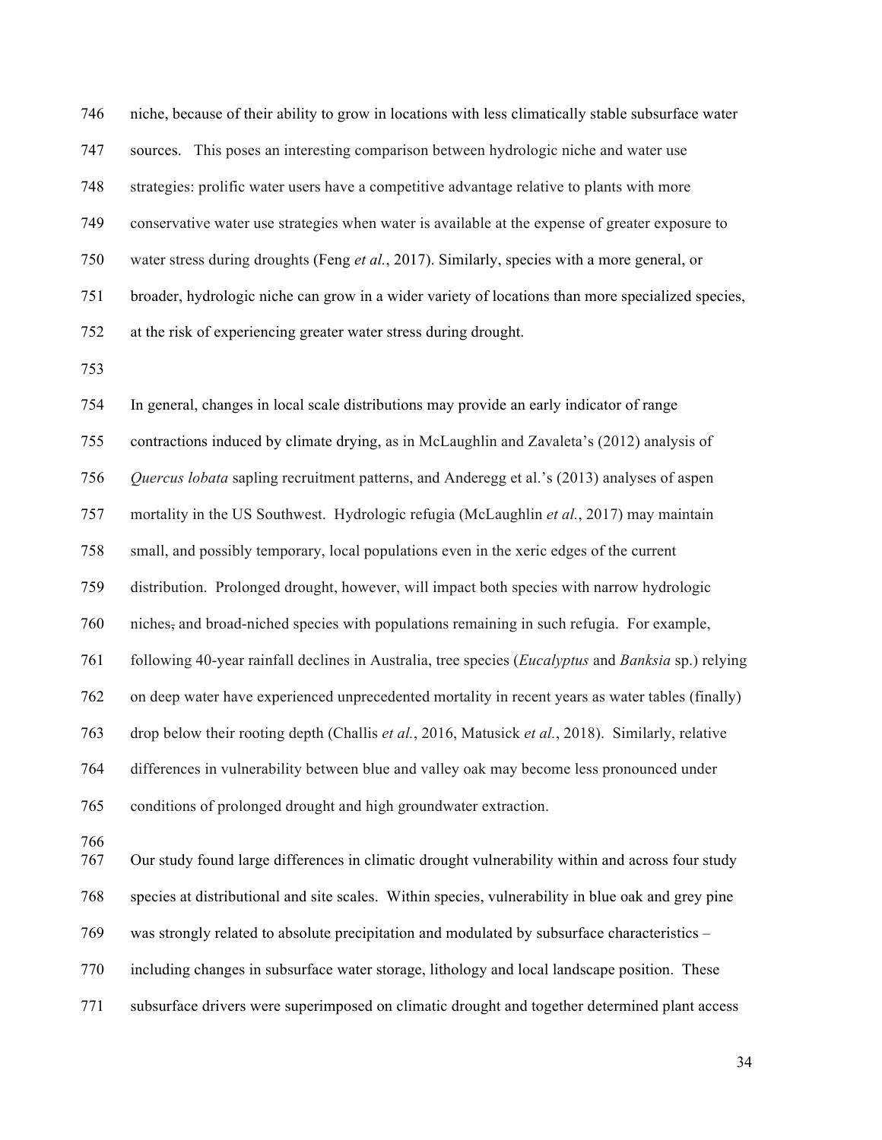niche, because of their ability to grow in locations with less climatically stable subsurface water sources. This poses an interesting comparison between hydrologic niche and water use strategies: prolific water users have a competitive advantage relative to plants with more conservative water use strategies when water is available at the expense of greater exposure to water stress during droughts (Feng *et al.*, 2017). Similarly, species with a more general, or broader, hydrologic niche can grow in a wider variety of locations than more specialized species, at the risk of experiencing greater water stress during drought.

 In general, changes in local scale distributions may provide an early indicator of range contractions induced by climate drying, as in McLaughlin and Zavaleta's (2012) analysis of *Quercus lobata* sapling recruitment patterns, and Anderegg et al.'s (2013) analyses of aspen mortality in the US Southwest. Hydrologic refugia (McLaughlin *et al.*, 2017) may maintain small, and possibly temporary, local populations even in the xeric edges of the current distribution. Prolonged drought, however, will impact both species with narrow hydrologic niches, and broad-niched species with populations remaining in such refugia. For example, following 40-year rainfall declines in Australia, tree species (*Eucalyptus* and *Banksia* sp.) relying on deep water have experienced unprecedented mortality in recent years as water tables (finally) drop below their rooting depth (Challis *et al.*, 2016, Matusick *et al.*, 2018). Similarly, relative differences in vulnerability between blue and valley oak may become less pronounced under conditions of prolonged drought and high groundwater extraction. Our study found large differences in climatic drought vulnerability within and across four study species at distributional and site scales. Within species, vulnerability in blue oak and grey pine

was strongly related to absolute precipitation and modulated by subsurface characteristics –

including changes in subsurface water storage, lithology and local landscape position. These

subsurface drivers were superimposed on climatic drought and together determined plant access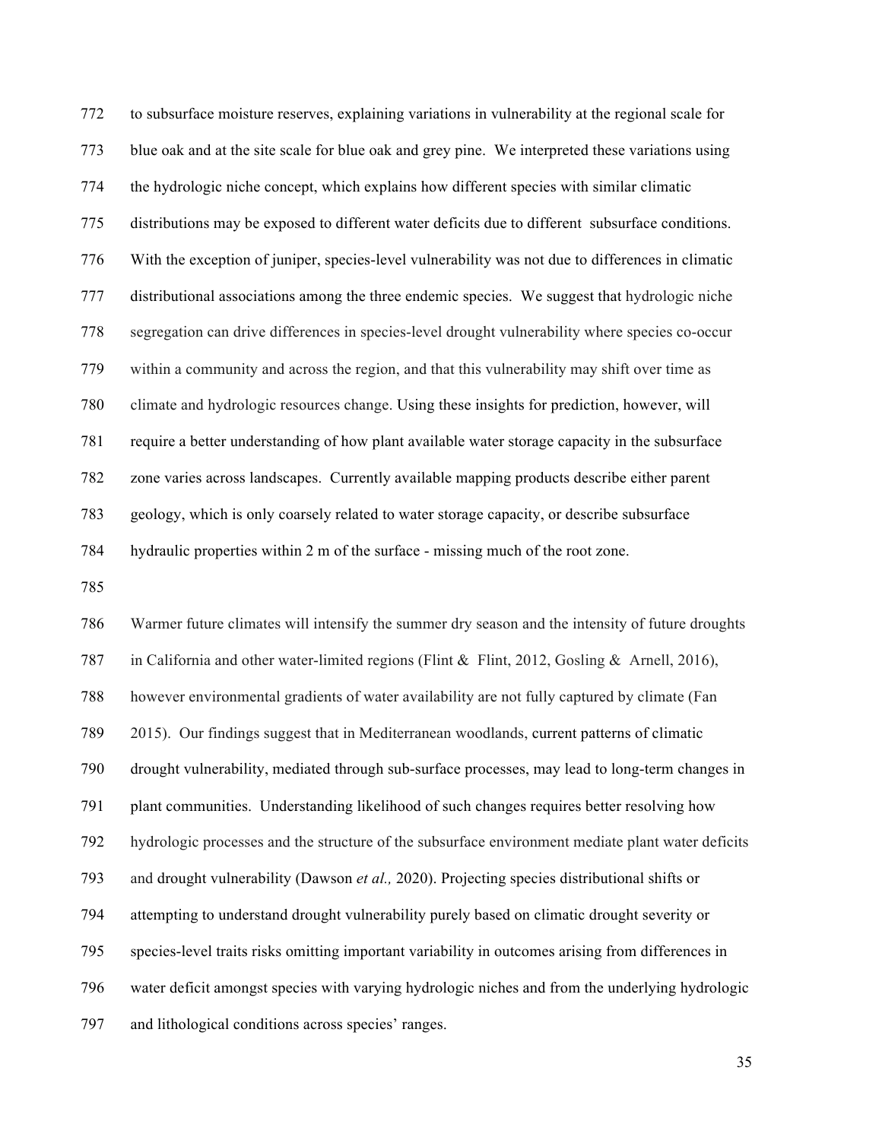to subsurface moisture reserves, explaining variations in vulnerability at the regional scale for blue oak and at the site scale for blue oak and grey pine. We interpreted these variations using the hydrologic niche concept, which explains how different species with similar climatic distributions may be exposed to different water deficits due to different subsurface conditions. With the exception of juniper, species-level vulnerability was not due to differences in climatic distributional associations among the three endemic species. We suggest that hydrologic niche segregation can drive differences in species-level drought vulnerability where species co-occur within a community and across the region, and that this vulnerability may shift over time as climate and hydrologic resources change. Using these insights for prediction, however, will require a better understanding of how plant available water storage capacity in the subsurface zone varies across landscapes. Currently available mapping products describe either parent geology, which is only coarsely related to water storage capacity, or describe subsurface hydraulic properties within 2 m of the surface - missing much of the root zone.

 Warmer future climates will intensify the summer dry season and the intensity of future droughts in California and other water-limited regions (Flint & Flint, 2012, Gosling & Arnell, 2016), however environmental gradients of water availability are not fully captured by climate (Fan 2015). Our findings suggest that in Mediterranean woodlands, current patterns of climatic drought vulnerability, mediated through sub-surface processes, may lead to long-term changes in plant communities. Understanding likelihood of such changes requires better resolving how hydrologic processes and the structure of the subsurface environment mediate plant water deficits and drought vulnerability (Dawson *et al.,* 2020). Projecting species distributional shifts or attempting to understand drought vulnerability purely based on climatic drought severity or species-level traits risks omitting important variability in outcomes arising from differences in water deficit amongst species with varying hydrologic niches and from the underlying hydrologic and lithological conditions across species' ranges.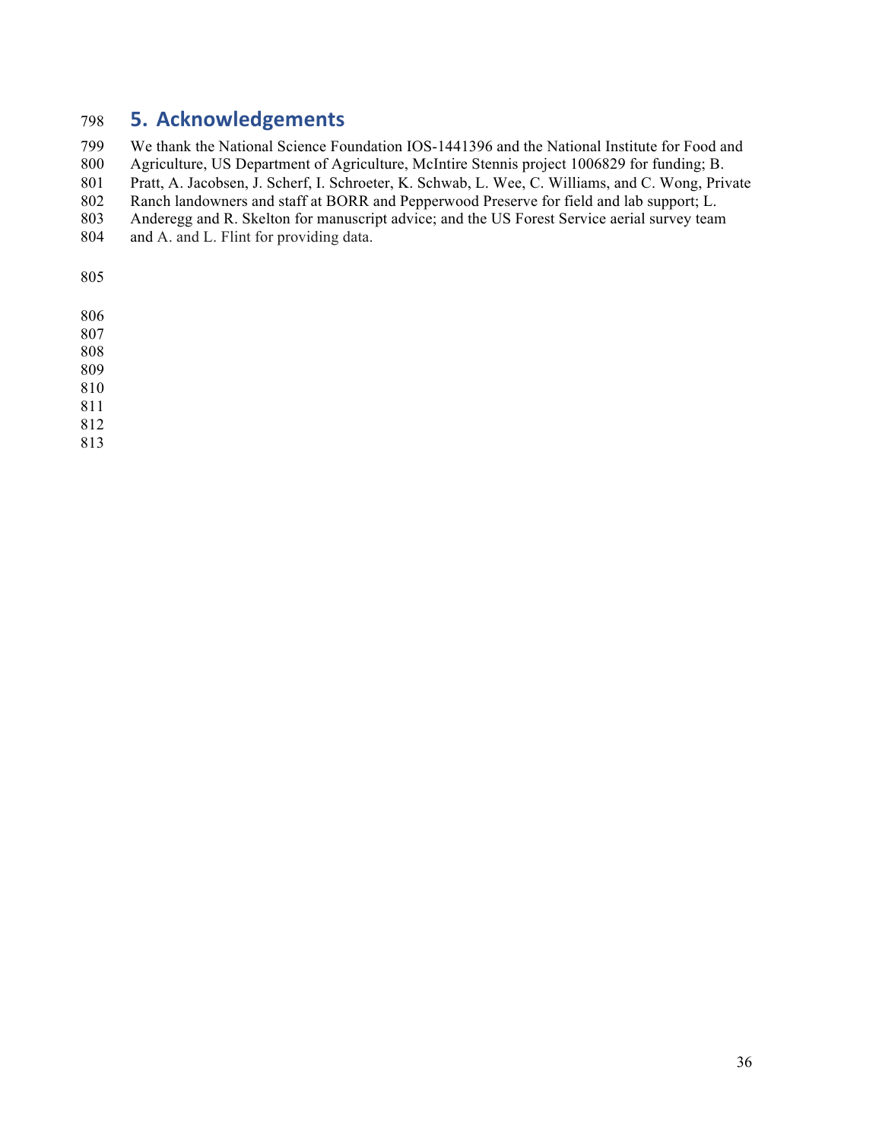## **5. Acknowledgements**

We thank the National Science Foundation IOS-1441396 and the National Institute for Food and

Agriculture, US Department of Agriculture, McIntire Stennis project 1006829 for funding; B.

801 Pratt, A. Jacobsen, J. Scherf, I. Schroeter, K. Schwab, L. Wee, C. Williams, and C. Wong, Private

Ranch landowners and staff at BORR and Pepperwood Preserve for field and lab support; L.

- Anderegg and R. Skelton for manuscript advice; and the US Forest Service aerial survey team
- and A. and L. Flint for providing data.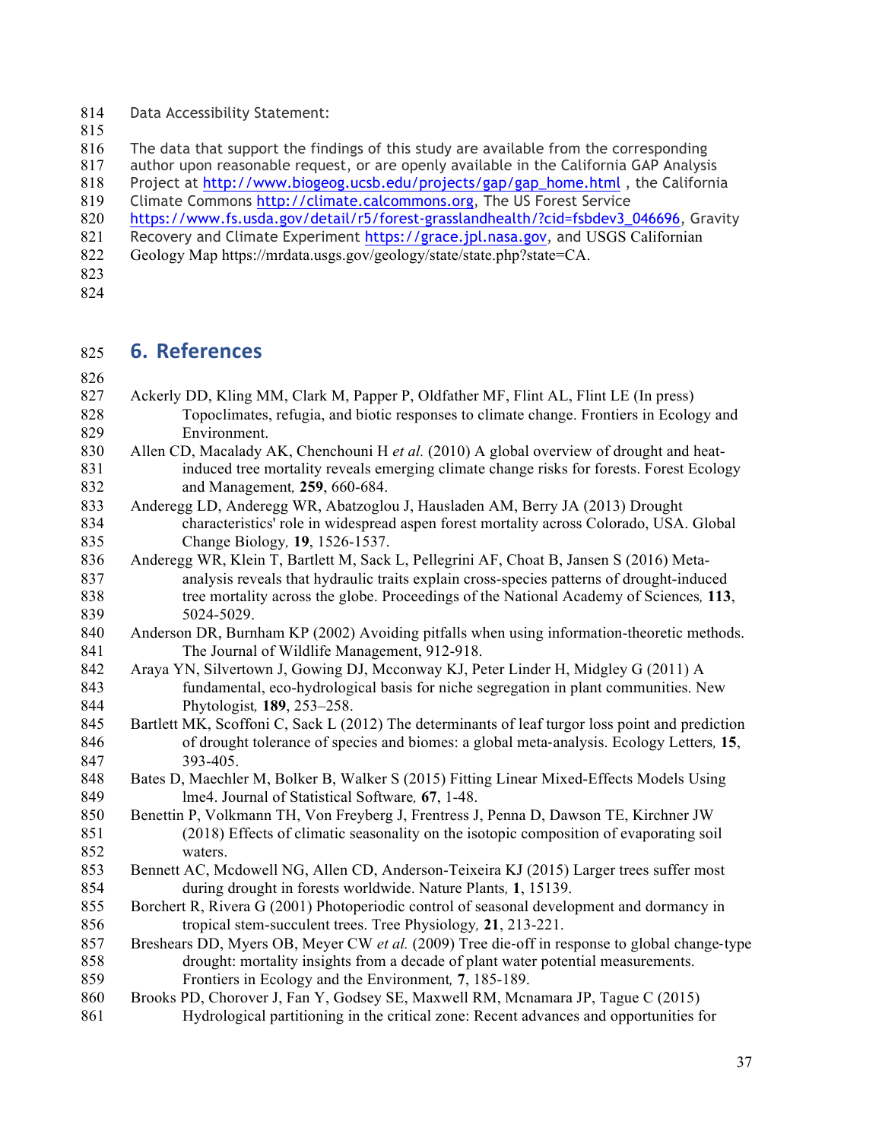Data Accessibility Statement:

816 The data that support the findings of this study are available from the corresponding<br>817 author upon reasonable request, or are openly available in the California GAP Analysi

author upon reasonable request, or are openly available in the California GAP Analysis

Project at http://www.biogeog.ucsb.edu/projects/gap/gap\_home.html , the California

Climate Commons http://climate.calcommons.org, The US Forest Service

https://www.fs.usda.gov/detail/r5/forest-grasslandhealth/?cid=fsbdev3\_046696, Gravity

821 Recovery and Climate Experiment https://grace.jpl.nasa.gov, and USGS Californian

- Geology Map https://mrdata.usgs.gov/geology/state/state.php?state=CA.
- 
- 

## **6. References**

- Ackerly DD, Kling MM, Clark M, Papper P, Oldfather MF, Flint AL, Flint LE (In press) Topoclimates, refugia, and biotic responses to climate change. Frontiers in Ecology and Environment. Allen CD, Macalady AK, Chenchouni H *et al.* (2010) A global overview of drought and heat-
- induced tree mortality reveals emerging climate change risks for forests. Forest Ecology and Management*,* **259**, 660-684.
- Anderegg LD, Anderegg WR, Abatzoglou J, Hausladen AM, Berry JA (2013) Drought characteristics' role in widespread aspen forest mortality across Colorado, USA. Global Change Biology*,* **19**, 1526-1537.
- Anderegg WR, Klein T, Bartlett M, Sack L, Pellegrini AF, Choat B, Jansen S (2016) Meta- analysis reveals that hydraulic traits explain cross-species patterns of drought-induced tree mortality across the globe. Proceedings of the National Academy of Sciences*,* **113**, 5024-5029.
- Anderson DR, Burnham KP (2002) Avoiding pitfalls when using information-theoretic methods. The Journal of Wildlife Management, 912-918.
- Araya YN, Silvertown J, Gowing DJ, Mcconway KJ, Peter Linder H, Midgley G (2011) A fundamental, eco-hydrological basis for niche segregation in plant communities. New Phytologist*,* **189**, 253–258.
- Bartlett MK, Scoffoni C, Sack L (2012) The determinants of leaf turgor loss point and prediction of drought tolerance of species and biomes: a global meta-analysis. Ecology Letters*,* **15**, 393-405.
- Bates D, Maechler M, Bolker B, Walker S (2015) Fitting Linear Mixed-Effects Models Using lme4. Journal of Statistical Software*,* **67**, 1-48.
- Benettin P, Volkmann TH, Von Freyberg J, Frentress J, Penna D, Dawson TE, Kirchner JW (2018) Effects of climatic seasonality on the isotopic composition of evaporating soil waters.
- Bennett AC, Mcdowell NG, Allen CD, Anderson-Teixeira KJ (2015) Larger trees suffer most during drought in forests worldwide. Nature Plants*,* **1**, 15139.
- Borchert R, Rivera G (2001) Photoperiodic control of seasonal development and dormancy in tropical stem-succulent trees. Tree Physiology*,* **21**, 213-221.
- Breshears DD, Myers OB, Meyer CW *et al.* (2009) Tree die-off in response to global change-type drought: mortality insights from a decade of plant water potential measurements. Frontiers in Ecology and the Environment*,* **7**, 185-189.
- Brooks PD, Chorover J, Fan Y, Godsey SE, Maxwell RM, Mcnamara JP, Tague C (2015) Hydrological partitioning in the critical zone: Recent advances and opportunities for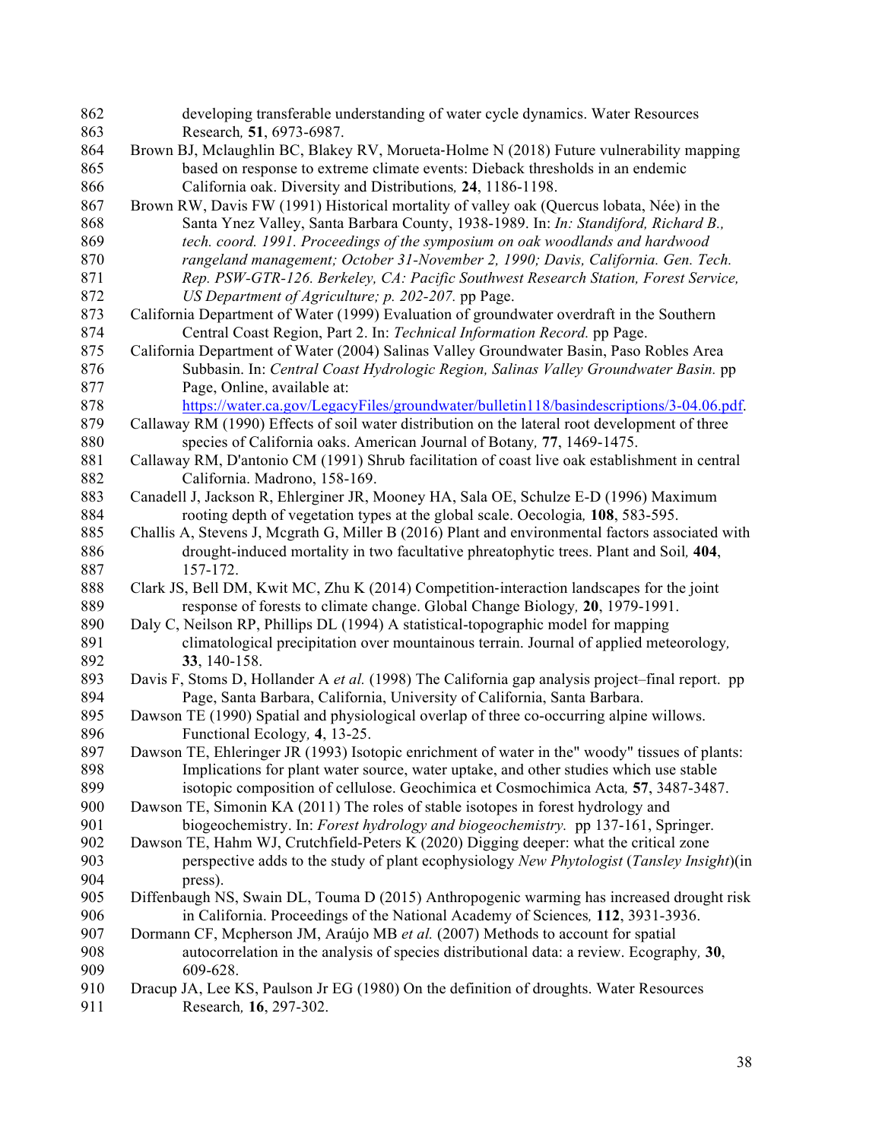| 862 | developing transferable understanding of water cycle dynamics. Water Resources                          |
|-----|---------------------------------------------------------------------------------------------------------|
| 863 | Research, 51, 6973-6987.                                                                                |
| 864 | Brown BJ, Mclaughlin BC, Blakey RV, Morueta-Holme N (2018) Future vulnerability mapping                 |
| 865 | based on response to extreme climate events: Dieback thresholds in an endemic                           |
| 866 | California oak. Diversity and Distributions, 24, 1186-1198.                                             |
| 867 | Brown RW, Davis FW (1991) Historical mortality of valley oak (Quercus lobata, Née) in the               |
| 868 | Santa Ynez Valley, Santa Barbara County, 1938-1989. In: In: Standiford, Richard B.,                     |
| 869 | tech. coord. 1991. Proceedings of the symposium on oak woodlands and hardwood                           |
| 870 | rangeland management; October 31-November 2, 1990; Davis, California. Gen. Tech.                        |
| 871 | Rep. PSW-GTR-126. Berkeley, CA: Pacific Southwest Research Station, Forest Service,                     |
| 872 | US Department of Agriculture; p. 202-207. pp Page.                                                      |
| 873 | California Department of Water (1999) Evaluation of groundwater overdraft in the Southern               |
| 874 | Central Coast Region, Part 2. In: Technical Information Record. pp Page.                                |
| 875 | California Department of Water (2004) Salinas Valley Groundwater Basin, Paso Robles Area                |
| 876 | Subbasin. In: Central Coast Hydrologic Region, Salinas Valley Groundwater Basin. pp                     |
| 877 | Page, Online, available at:                                                                             |
| 878 | https://water.ca.gov/LegacyFiles/groundwater/bulletin118/basindescriptions/3-04.06.pdf.                 |
| 879 | Callaway RM (1990) Effects of soil water distribution on the lateral root development of three          |
| 880 | species of California oaks. American Journal of Botany, 77, 1469-1475.                                  |
| 881 | Callaway RM, D'antonio CM (1991) Shrub facilitation of coast live oak establishment in central          |
| 882 | California. Madrono, 158-169.                                                                           |
| 883 | Canadell J, Jackson R, Ehlerginer JR, Mooney HA, Sala OE, Schulze E-D (1996) Maximum                    |
| 884 | rooting depth of vegetation types at the global scale. Oecologia, 108, 583-595.                         |
| 885 | Challis A, Stevens J, Mcgrath G, Miller B (2016) Plant and environmental factors associated with        |
| 886 | drought-induced mortality in two facultative phreatophytic trees. Plant and Soil, 404,                  |
| 887 | 157-172.                                                                                                |
| 888 | Clark JS, Bell DM, Kwit MC, Zhu K (2014) Competition-interaction landscapes for the joint               |
| 889 | response of forests to climate change. Global Change Biology, 20, 1979-1991.                            |
| 890 | Daly C, Neilson RP, Phillips DL (1994) A statistical-topographic model for mapping                      |
| 891 | climatological precipitation over mountainous terrain. Journal of applied meteorology,                  |
| 892 | 33, 140-158.                                                                                            |
| 893 | Davis F, Stoms D, Hollander A <i>et al.</i> (1998) The California gap analysis project-final report. pp |
| 894 | Page, Santa Barbara, California, University of California, Santa Barbara.                               |
| 895 | Dawson TE (1990) Spatial and physiological overlap of three co-occurring alpine willows.                |
| 896 | Functional Ecology, 4, 13-25.                                                                           |
| 897 | Dawson TE, Ehleringer JR (1993) Isotopic enrichment of water in the" woody" tissues of plants:          |
| 898 | Implications for plant water source, water uptake, and other studies which use stable                   |
| 899 | isotopic composition of cellulose. Geochimica et Cosmochimica Acta, 57, 3487-3487.                      |
| 900 | Dawson TE, Simonin KA (2011) The roles of stable isotopes in forest hydrology and                       |
| 901 | biogeochemistry. In: Forest hydrology and biogeochemistry. pp 137-161, Springer.                        |
| 902 | Dawson TE, Hahm WJ, Crutchfield-Peters K (2020) Digging deeper: what the critical zone                  |
| 903 | perspective adds to the study of plant ecophysiology New Phytologist (Tansley Insight)(in               |
| 904 | press).                                                                                                 |
| 905 | Diffenbaugh NS, Swain DL, Touma D (2015) Anthropogenic warming has increased drought risk               |
| 906 | in California. Proceedings of the National Academy of Sciences, 112, 3931-3936.                         |
| 907 | Dormann CF, Mcpherson JM, Araújo MB et al. (2007) Methods to account for spatial                        |
| 908 | autocorrelation in the analysis of species distributional data: a review. Ecography, 30,                |
| 909 | 609-628.                                                                                                |
| 910 | Dracup JA, Lee KS, Paulson Jr EG (1980) On the definition of droughts. Water Resources                  |
| 911 | Research, 16, 297-302.                                                                                  |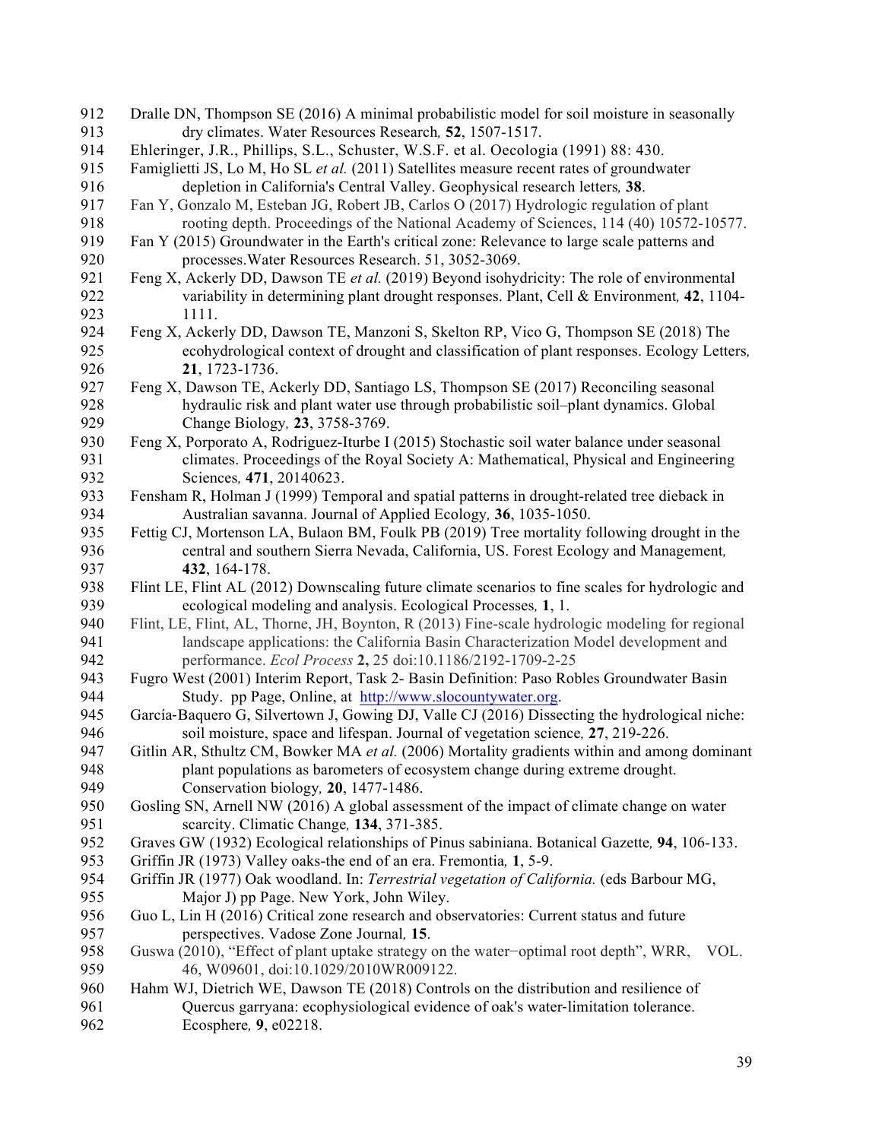| 912 | Dralle DN, Thompson SE (2016) A minimal probabilistic model for soil moisture in seasonally      |
|-----|--------------------------------------------------------------------------------------------------|
| 913 | dry climates. Water Resources Research, 52, 1507-1517.                                           |
| 914 | Ehleringer, J.R., Phillips, S.L., Schuster, W.S.F. et al. Oecologia (1991) 88: 430.              |
| 915 | Famiglietti JS, Lo M, Ho SL et al. (2011) Satellites measure recent rates of groundwater         |
| 916 | depletion in California's Central Valley. Geophysical research letters, 38.                      |
| 917 | Fan Y, Gonzalo M, Esteban JG, Robert JB, Carlos O (2017) Hydrologic regulation of plant          |
| 918 | rooting depth. Proceedings of the National Academy of Sciences, 114 (40) 10572-10577.            |
| 919 | Fan Y (2015) Groundwater in the Earth's critical zone: Relevance to large scale patterns and     |
| 920 | processes. Water Resources Research. 51, 3052-3069.                                              |
| 921 | Feng X, Ackerly DD, Dawson TE et al. (2019) Beyond isohydricity: The role of environmental       |
| 922 | variability in determining plant drought responses. Plant, Cell & Environment, 42, 1104-         |
| 923 | 1111.                                                                                            |
| 924 | Feng X, Ackerly DD, Dawson TE, Manzoni S, Skelton RP, Vico G, Thompson SE (2018) The             |
| 925 | ecohydrological context of drought and classification of plant responses. Ecology Letters,       |
| 926 | 21, 1723-1736.                                                                                   |
| 927 | Feng X, Dawson TE, Ackerly DD, Santiago LS, Thompson SE (2017) Reconciling seasonal              |
| 928 | hydraulic risk and plant water use through probabilistic soil-plant dynamics. Global             |
| 929 | Change Biology, 23, 3758-3769.                                                                   |
| 930 | Feng X, Porporato A, Rodriguez-Iturbe I (2015) Stochastic soil water balance under seasonal      |
| 931 | climates. Proceedings of the Royal Society A: Mathematical, Physical and Engineering             |
| 932 | Sciences, 471, 20140623.                                                                         |
| 933 |                                                                                                  |
| 934 | Fensham R, Holman J (1999) Temporal and spatial patterns in drought-related tree dieback in      |
| 935 | Australian savanna. Journal of Applied Ecology, 36, 1035-1050.                                   |
|     | Fettig CJ, Mortenson LA, Bulaon BM, Foulk PB (2019) Tree mortality following drought in the      |
| 936 | central and southern Sierra Nevada, California, US. Forest Ecology and Management,               |
| 937 | 432, 164-178.                                                                                    |
| 938 | Flint LE, Flint AL (2012) Downscaling future climate scenarios to fine scales for hydrologic and |
| 939 | ecological modeling and analysis. Ecological Processes, 1, 1.                                    |
| 940 | Flint, LE, Flint, AL, Thorne, JH, Boynton, R (2013) Fine-scale hydrologic modeling for regional  |
| 941 | landscape applications: the California Basin Characterization Model development and              |
| 942 | performance. Ecol Process 2, 25 doi:10.1186/2192-1709-2-25                                       |
| 943 | Fugro West (2001) Interim Report, Task 2- Basin Definition: Paso Robles Groundwater Basin        |
| 944 | Study. pp Page, Online, at http://www.slocountywater.org.                                        |
| 945 | García-Baquero G, Silvertown J, Gowing DJ, Valle CJ (2016) Dissecting the hydrological niche:    |
| 946 | soil moisture, space and lifespan. Journal of vegetation science, 27, 219-226.                   |
| 947 | Gitlin AR, Sthultz CM, Bowker MA et al. (2006) Mortality gradients within and among dominant     |
| 948 | plant populations as barometers of ecosystem change during extreme drought.                      |
| 949 | Conservation biology, 20, 1477-1486.                                                             |
| 950 | Gosling SN, Arnell NW (2016) A global assessment of the impact of climate change on water        |
| 951 | scarcity. Climatic Change, 134, 371-385.                                                         |
| 952 | Graves GW (1932) Ecological relationships of Pinus sabiniana. Botanical Gazette, 94, 106-133.    |
| 953 | Griffin JR (1973) Valley oaks-the end of an era. Fremontia, 1, 5-9.                              |
| 954 | Griffin JR (1977) Oak woodland. In: Terrestrial vegetation of California. (eds Barbour MG,       |
| 955 | Major J) pp Page. New York, John Wiley.                                                          |
| 956 | Guo L, Lin H (2016) Critical zone research and observatories: Current status and future          |
| 957 | perspectives. Vadose Zone Journal, 15.                                                           |
| 958 | Guswa (2010), "Effect of plant uptake strategy on the water-optimal root depth", WRR, VOL.       |
| 959 | 46, W09601, doi:10.1029/2010WR009122.                                                            |
| 960 | Hahm WJ, Dietrich WE, Dawson TE (2018) Controls on the distribution and resilience of            |
| 961 | Quercus garryana: ecophysiological evidence of oak's water-limitation tolerance.                 |
| 962 | Ecosphere, 9, e02218.                                                                            |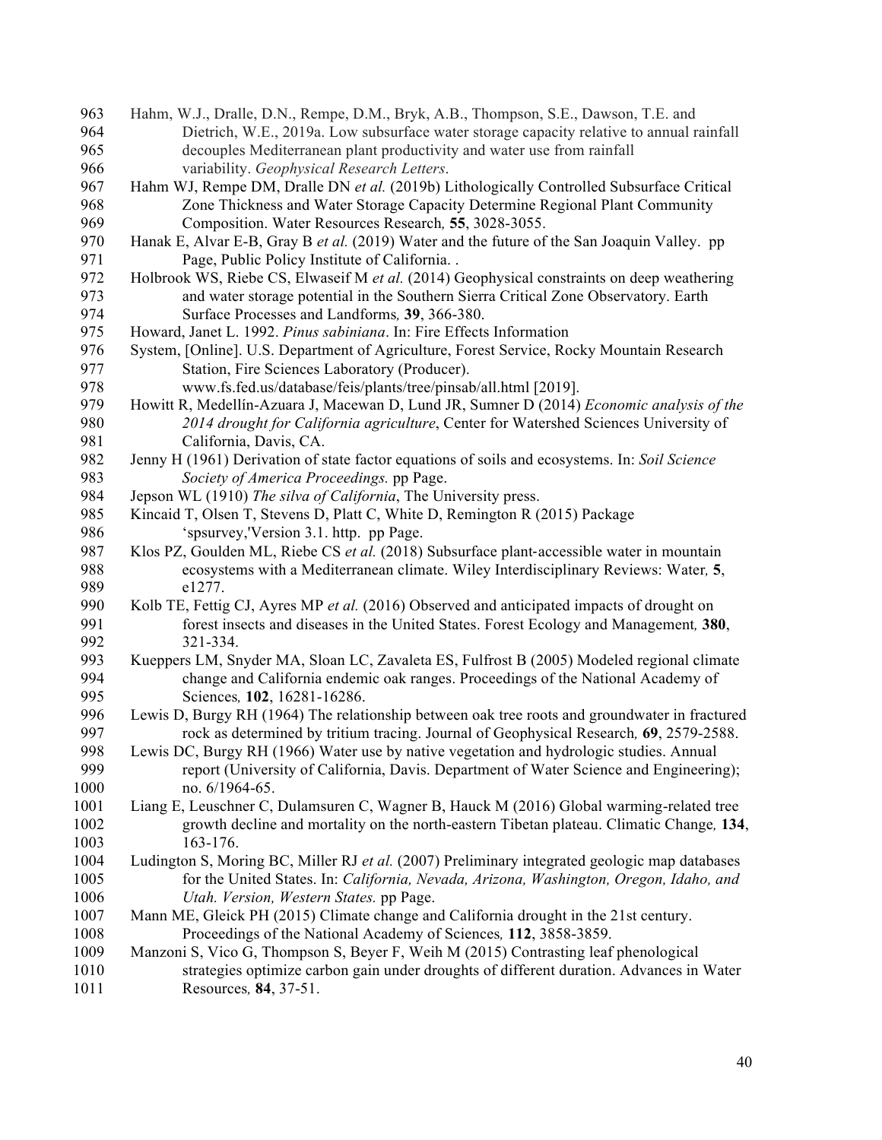Hahm, W.J., Dralle, D.N., Rempe, D.M., Bryk, A.B., Thompson, S.E., Dawson, T.E. and Dietrich, W.E., 2019a. Low subsurface water storage capacity relative to annual rainfall decouples Mediterranean plant productivity and water use from rainfall variability. *Geophysical Research Letters*. Hahm WJ, Rempe DM, Dralle DN *et al.* (2019b) Lithologically Controlled Subsurface Critical Zone Thickness and Water Storage Capacity Determine Regional Plant Community Composition. Water Resources Research*,* **55**, 3028-3055. Hanak E, Alvar E-B, Gray B *et al.* (2019) Water and the future of the San Joaquin Valley. pp Page, Public Policy Institute of California. . Holbrook WS, Riebe CS, Elwaseif M *et al.* (2014) Geophysical constraints on deep weathering and water storage potential in the Southern Sierra Critical Zone Observatory. Earth Surface Processes and Landforms*,* **39**, 366-380. Howard, Janet L. 1992. *Pinus sabiniana*. In: Fire Effects Information System, [Online]. U.S. Department of Agriculture, Forest Service, Rocky Mountain Research Station, Fire Sciences Laboratory (Producer). www.fs.fed.us/database/feis/plants/tree/pinsab/all.html [2019]. Howitt R, Medellín-Azuara J, Macewan D, Lund JR, Sumner D (2014) *Economic analysis of the 2014 drought for California agriculture*, Center for Watershed Sciences University of California, Davis, CA. Jenny H (1961) Derivation of state factor equations of soils and ecosystems. In: *Soil Science Society of America Proceedings.* pp Page. Jepson WL (1910) *The silva of California*, The University press. Kincaid T, Olsen T, Stevens D, Platt C, White D, Remington R (2015) Package 'spsurvey,'Version 3.1. http. pp Page. Klos PZ, Goulden ML, Riebe CS *et al.* (2018) Subsurface plant-accessible water in mountain ecosystems with a Mediterranean climate. Wiley Interdisciplinary Reviews: Water*,* **5**, e1277. Kolb TE, Fettig CJ, Ayres MP *et al.* (2016) Observed and anticipated impacts of drought on forest insects and diseases in the United States. Forest Ecology and Management*,* **380**, 321-334. Kueppers LM, Snyder MA, Sloan LC, Zavaleta ES, Fulfrost B (2005) Modeled regional climate change and California endemic oak ranges. Proceedings of the National Academy of Sciences*,* **102**, 16281-16286. Lewis D, Burgy RH (1964) The relationship between oak tree roots and groundwater in fractured rock as determined by tritium tracing. Journal of Geophysical Research*,* **69**, 2579-2588. Lewis DC, Burgy RH (1966) Water use by native vegetation and hydrologic studies. Annual report (University of California, Davis. Department of Water Science and Engineering); 1000 no. 6/1964-65. Liang E, Leuschner C, Dulamsuren C, Wagner B, Hauck M (2016) Global warming-related tree growth decline and mortality on the north-eastern Tibetan plateau. Climatic Change*,* **134**, 163-176. Ludington S, Moring BC, Miller RJ *et al.* (2007) Preliminary integrated geologic map databases for the United States. In: *California, Nevada, Arizona, Washington, Oregon, Idaho, and Utah. Version, Western States.* pp Page. Mann ME, Gleick PH (2015) Climate change and California drought in the 21st century. Proceedings of the National Academy of Sciences*,* **112**, 3858-3859. Manzoni S, Vico G, Thompson S, Beyer F, Weih M (2015) Contrasting leaf phenological strategies optimize carbon gain under droughts of different duration. Advances in Water Resources*,* **84**, 37-51.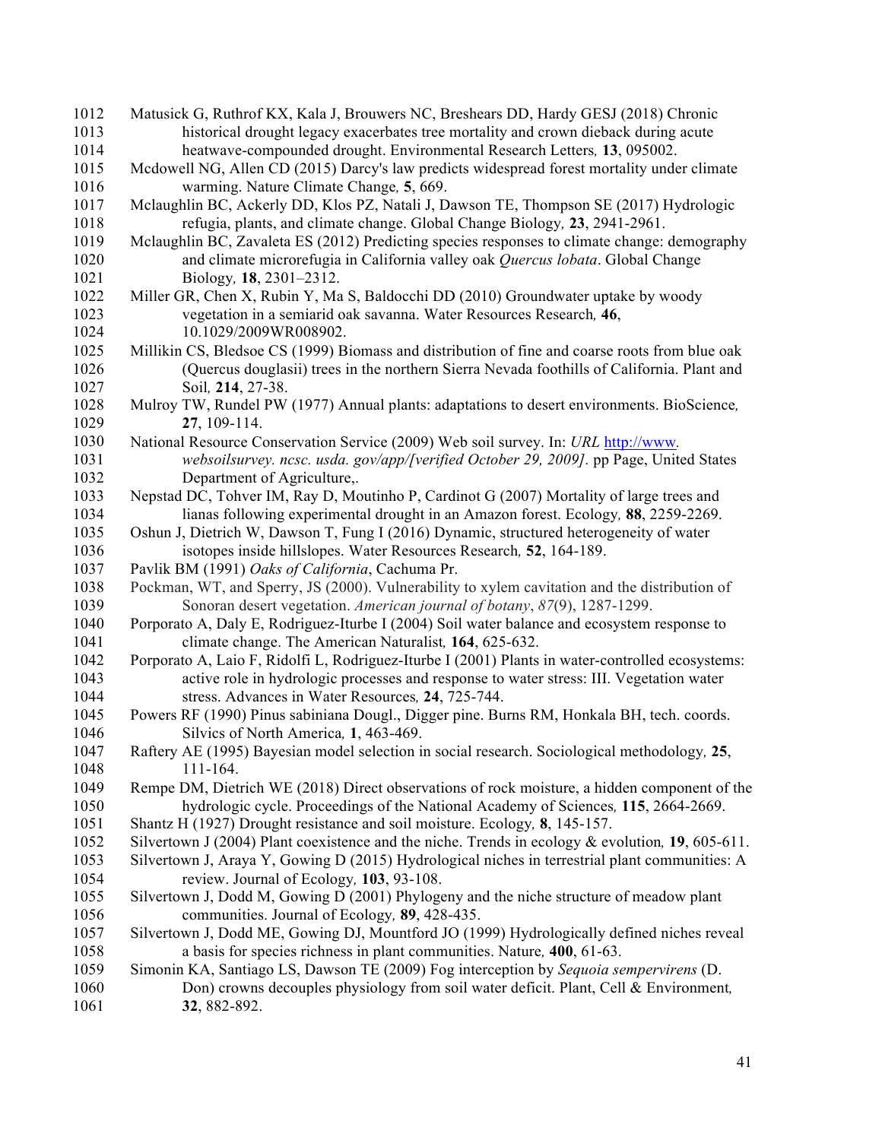| 1012 | Matusick G, Ruthrof KX, Kala J, Brouwers NC, Breshears DD, Hardy GESJ (2018) Chronic             |
|------|--------------------------------------------------------------------------------------------------|
| 1013 | historical drought legacy exacerbates tree mortality and crown dieback during acute              |
| 1014 | heatwave-compounded drought. Environmental Research Letters, 13, 095002.                         |
| 1015 | Mcdowell NG, Allen CD (2015) Darcy's law predicts widespread forest mortality under climate      |
| 1016 | warming. Nature Climate Change, 5, 669.                                                          |
| 1017 | Mclaughlin BC, Ackerly DD, Klos PZ, Natali J, Dawson TE, Thompson SE (2017) Hydrologic           |
| 1018 | refugia, plants, and climate change. Global Change Biology, 23, 2941-2961.                       |
| 1019 | Mclaughlin BC, Zavaleta ES (2012) Predicting species responses to climate change: demography     |
| 1020 | and climate microrefugia in California valley oak Quercus lobata. Global Change                  |
| 1021 | Biology, 18, 2301-2312.                                                                          |
| 1022 | Miller GR, Chen X, Rubin Y, Ma S, Baldocchi DD (2010) Groundwater uptake by woody                |
| 1023 | vegetation in a semiarid oak savanna. Water Resources Research, 46,                              |
| 1024 | 10.1029/2009WR008902.                                                                            |
| 1025 | Millikin CS, Bledsoe CS (1999) Biomass and distribution of fine and coarse roots from blue oak   |
| 1026 | (Quercus douglasii) trees in the northern Sierra Nevada foothills of California. Plant and       |
| 1027 | Soil, 214, 27-38.                                                                                |
| 1028 | Mulroy TW, Rundel PW (1977) Annual plants: adaptations to desert environments. BioScience,       |
| 1029 | 27, 109-114.                                                                                     |
| 1030 | National Resource Conservation Service (2009) Web soil survey. In: URL http://www.               |
| 1031 | websoilsurvey. ncsc. usda. gov/app/[verified October 29, 2009]. pp Page, United States           |
| 1032 | Department of Agriculture,.                                                                      |
| 1033 | Nepstad DC, Tohver IM, Ray D, Moutinho P, Cardinot G (2007) Mortality of large trees and         |
| 1034 | lianas following experimental drought in an Amazon forest. Ecology, 88, 2259-2269.               |
| 1035 | Oshun J, Dietrich W, Dawson T, Fung I (2016) Dynamic, structured heterogeneity of water          |
| 1036 | isotopes inside hillslopes. Water Resources Research, 52, 164-189.                               |
| 1037 | Pavlik BM (1991) Oaks of California, Cachuma Pr.                                                 |
| 1038 | Pockman, WT, and Sperry, JS (2000). Vulnerability to xylem cavitation and the distribution of    |
| 1039 | Sonoran desert vegetation. American journal of botany, 87(9), 1287-1299.                         |
| 1040 | Porporato A, Daly E, Rodriguez-Iturbe I (2004) Soil water balance and ecosystem response to      |
| 1041 | climate change. The American Naturalist, 164, 625-632.                                           |
| 1042 | Porporato A, Laio F, Ridolfi L, Rodriguez-Iturbe I (2001) Plants in water-controlled ecosystems: |
| 1043 | active role in hydrologic processes and response to water stress: III. Vegetation water          |
| 1044 | stress. Advances in Water Resources, 24, 725-744.                                                |
| 1045 | Powers RF (1990) Pinus sabiniana Dougl., Digger pine. Burns RM, Honkala BH, tech. coords.        |
| 1046 | Silvics of North America, 1, 463-469.                                                            |
| 1047 | Raftery AE (1995) Bayesian model selection in social research. Sociological methodology, 25,     |
| 1048 | 111-164.                                                                                         |
| 1049 | Rempe DM, Dietrich WE (2018) Direct observations of rock moisture, a hidden component of the     |
| 1050 | hydrologic cycle. Proceedings of the National Academy of Sciences, 115, 2664-2669.               |
| 1051 | Shantz H (1927) Drought resistance and soil moisture. Ecology, 8, 145-157.                       |
| 1052 | Silvertown J (2004) Plant coexistence and the niche. Trends in ecology & evolution, 19, 605-611. |
| 1053 | Silvertown J, Araya Y, Gowing D (2015) Hydrological niches in terrestrial plant communities: A   |
| 1054 | review. Journal of Ecology, 103, 93-108.                                                         |
| 1055 | Silvertown J, Dodd M, Gowing D (2001) Phylogeny and the niche structure of meadow plant          |
| 1056 | communities. Journal of Ecology, 89, 428-435.                                                    |
| 1057 | Silvertown J, Dodd ME, Gowing DJ, Mountford JO (1999) Hydrologically defined niches reveal       |
| 1058 | a basis for species richness in plant communities. Nature, 400, 61-63.                           |
| 1059 | Simonin KA, Santiago LS, Dawson TE (2009) Fog interception by Sequoia sempervirens (D.           |
| 1060 | Don) crowns decouples physiology from soil water deficit. Plant, Cell & Environment,             |
| 1061 | 32, 882-892.                                                                                     |
|      |                                                                                                  |